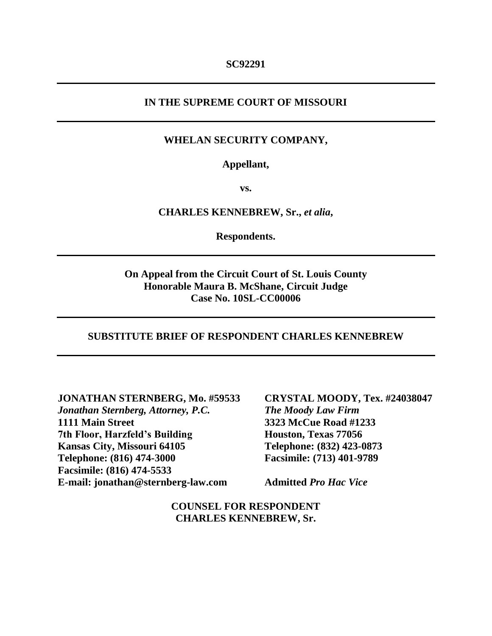### **IN THE SUPREME COURT OF MISSOURI**

### **WHELAN SECURITY COMPANY,**

### **Appellant,**

**vs.**

#### **CHARLES KENNEBREW, Sr.,** *et alia***,**

**Respondents.**

### **On Appeal from the Circuit Court of St. Louis County Honorable Maura B. McShane, Circuit Judge Case No. 10SL-CC00006**

#### **SUBSTITUTE BRIEF OF RESPONDENT CHARLES KENNEBREW**

**JONATHAN STERNBERG, Mo. #59533**

*Jonathan Sternberg, Attorney, P.C.* **1111 Main Street 7th Floor, Harzfeld's Building Kansas City, Missouri 64105 Telephone: (816) 474-3000 Facsimile: (816) 474-5533 E-mail: jonathan@sternberg-law.com** **CRYSTAL MOODY, Tex. #24038047** *The Moody Law Firm* **3323 McCue Road #1233 Houston, Texas 77056 Telephone: (832) 423-0873 Facsimile: (713) 401-9789**

**Admitted** *Pro Hac Vice*

**COUNSEL FOR RESPONDENT CHARLES KENNEBREW, Sr.**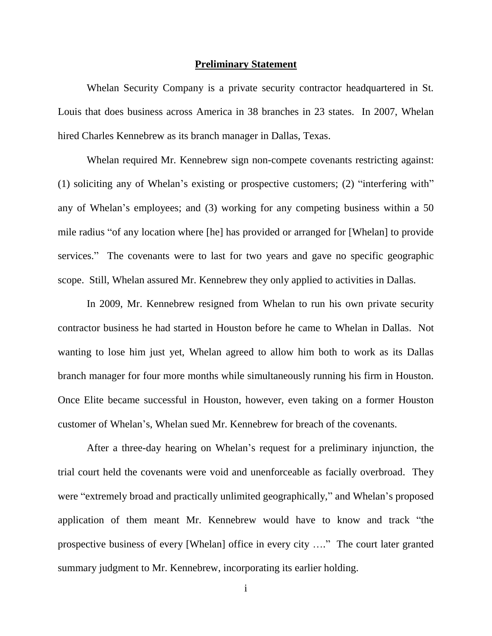#### **Preliminary Statement**

Whelan Security Company is a private security contractor headquartered in St. Louis that does business across America in 38 branches in 23 states. In 2007, Whelan hired Charles Kennebrew as its branch manager in Dallas, Texas.

Whelan required Mr. Kennebrew sign non-compete covenants restricting against: (1) soliciting any of Whelan's existing or prospective customers; (2) "interfering with" any of Whelan's employees; and (3) working for any competing business within a 50 mile radius "of any location where [he] has provided or arranged for [Whelan] to provide services." The covenants were to last for two years and gave no specific geographic scope. Still, Whelan assured Mr. Kennebrew they only applied to activities in Dallas.

In 2009, Mr. Kennebrew resigned from Whelan to run his own private security contractor business he had started in Houston before he came to Whelan in Dallas. Not wanting to lose him just yet, Whelan agreed to allow him both to work as its Dallas branch manager for four more months while simultaneously running his firm in Houston. Once Elite became successful in Houston, however, even taking on a former Houston customer of Whelan's, Whelan sued Mr. Kennebrew for breach of the covenants.

After a three-day hearing on Whelan's request for a preliminary injunction, the trial court held the covenants were void and unenforceable as facially overbroad. They were "extremely broad and practically unlimited geographically," and Whelan's proposed application of them meant Mr. Kennebrew would have to know and track "the prospective business of every [Whelan] office in every city …." The court later granted summary judgment to Mr. Kennebrew, incorporating its earlier holding.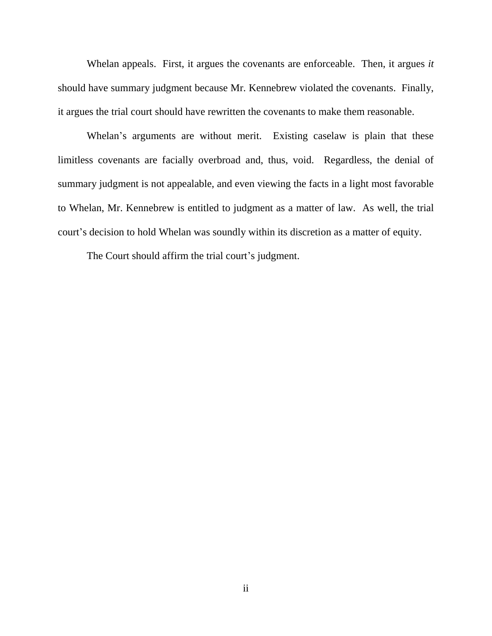Whelan appeals. First, it argues the covenants are enforceable. Then, it argues *it* should have summary judgment because Mr. Kennebrew violated the covenants. Finally, it argues the trial court should have rewritten the covenants to make them reasonable.

Whelan's arguments are without merit. Existing caselaw is plain that these limitless covenants are facially overbroad and, thus, void. Regardless, the denial of summary judgment is not appealable, and even viewing the facts in a light most favorable to Whelan, Mr. Kennebrew is entitled to judgment as a matter of law. As well, the trial court's decision to hold Whelan was soundly within its discretion as a matter of equity.

The Court should affirm the trial court's judgment.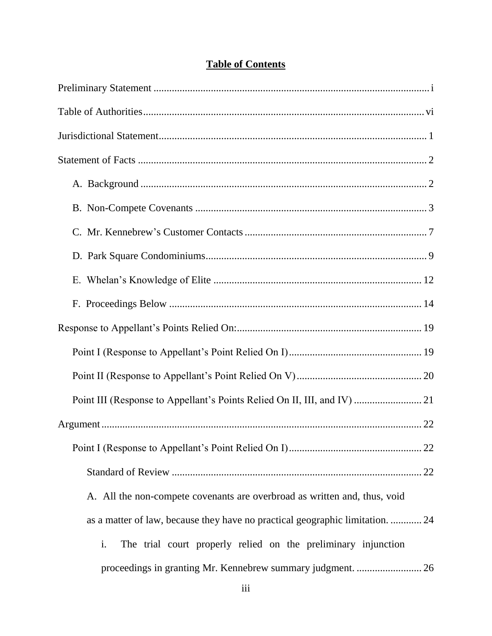| A. All the non-compete covenants are overbroad as written and, thus, void     |
|-------------------------------------------------------------------------------|
| as a matter of law, because they have no practical geographic limitation.  24 |
| i.<br>The trial court properly relied on the preliminary injunction           |
| proceedings in granting Mr. Kennebrew summary judgment.  26                   |

# **Table of Contents**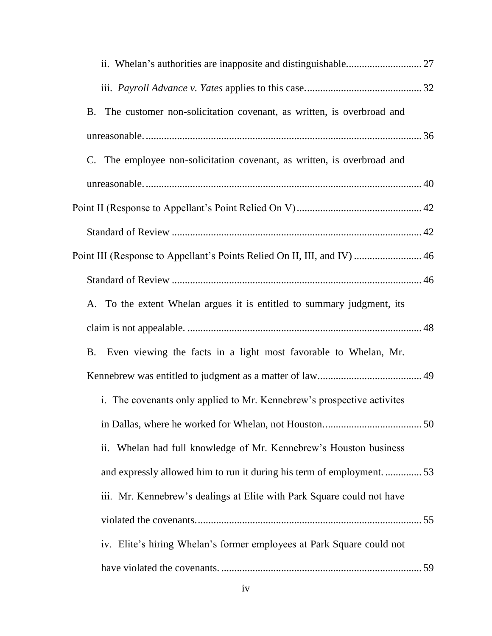| The customer non-solicitation covenant, as written, is overbroad and<br><b>B.</b> |  |
|-----------------------------------------------------------------------------------|--|
|                                                                                   |  |
| C. The employee non-solicitation covenant, as written, is overbroad and           |  |
|                                                                                   |  |
|                                                                                   |  |
|                                                                                   |  |
| Point III (Response to Appellant's Points Relied On II, III, and IV)  46          |  |
|                                                                                   |  |
| A. To the extent Whelan argues it is entitled to summary judgment, its            |  |
|                                                                                   |  |
| Even viewing the facts in a light most favorable to Whelan, Mr.<br><b>B.</b>      |  |
|                                                                                   |  |
| i. The covenants only applied to Mr. Kennebrew's prospective activites            |  |
|                                                                                   |  |
| ii. Whelan had full knowledge of Mr. Kennebrew's Houston business                 |  |
| and expressly allowed him to run it during his term of employment.  53            |  |
| iii. Mr. Kennebrew's dealings at Elite with Park Square could not have            |  |
|                                                                                   |  |
| iv. Elite's hiring Whelan's former employees at Park Square could not             |  |
|                                                                                   |  |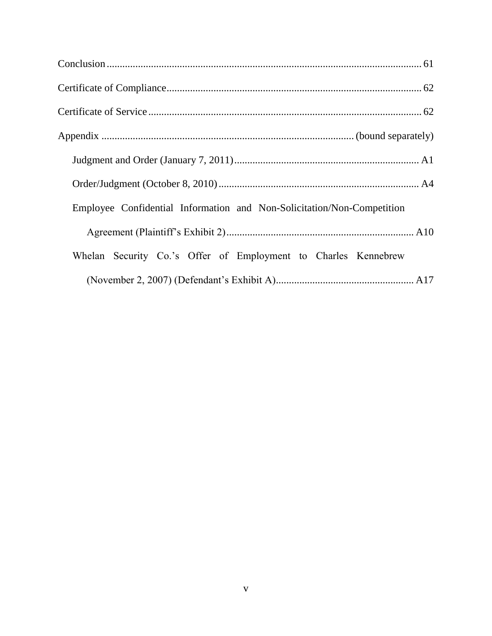| Employee Confidential Information and Non-Solicitation/Non-Competition |  |
|------------------------------------------------------------------------|--|
|                                                                        |  |
| Whelan Security Co.'s Offer of Employment to Charles Kennebrew         |  |
|                                                                        |  |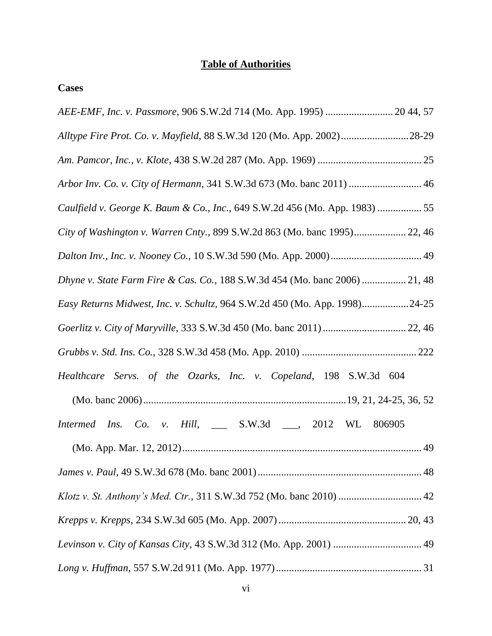# **Table of Authorities**

## **Cases**

| AEE-EMF, Inc. v. Passmore, 906 S.W.2d 714 (Mo. App. 1995)  20 44, 57        |
|-----------------------------------------------------------------------------|
| Alltype Fire Prot. Co. v. Mayfield, 88 S.W.3d 120 (Mo. App. 2002)28-29      |
|                                                                             |
| Arbor Inv. Co. v. City of Hermann, 341 S.W.3d 673 (Mo. banc 2011)  46       |
| Caulfield v. George K. Baum & Co., Inc., 649 S.W.2d 456 (Mo. App. 1983)  55 |
| City of Washington v. Warren Cnty., 899 S.W.2d 863 (Mo. banc 1995) 22, 46   |
|                                                                             |
| Dhyne v. State Farm Fire & Cas. Co., 188 S.W.3d 454 (Mo. banc 2006)  21, 48 |
| Easy Returns Midwest, Inc. v. Schultz, 964 S.W.2d 450 (Mo. App. 1998)24-25  |
|                                                                             |
|                                                                             |
| Healthcare Servs. of the Ozarks, Inc. v. Copeland, 198 S.W.3d 604           |
|                                                                             |
| Intermed Ins. Co. v. Hill, ___ S.W.3d ___, 2012 WL 806905                   |
|                                                                             |
|                                                                             |
|                                                                             |
|                                                                             |
| Levinson v. City of Kansas City, 43 S.W.3d 312 (Mo. App. 2001)  49          |
|                                                                             |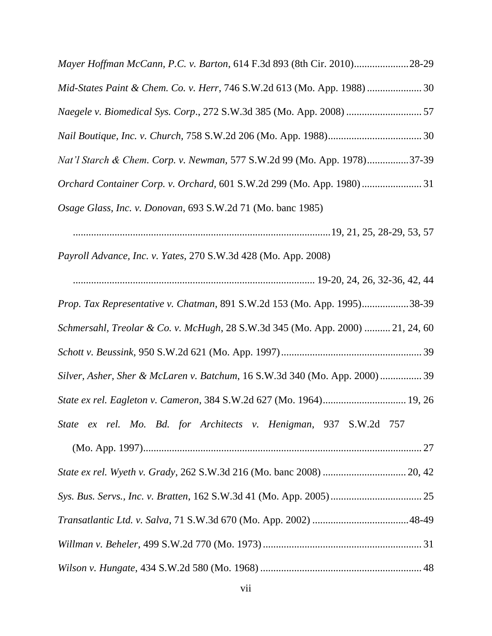| Mayer Hoffman McCann, P.C. v. Barton, 614 F.3d 893 (8th Cir. 2010)28-29        |
|--------------------------------------------------------------------------------|
| Mid-States Paint & Chem. Co. v. Herr, 746 S.W.2d 613 (Mo. App. 1988)  30       |
|                                                                                |
|                                                                                |
| Nat'l Starch & Chem. Corp. v. Newman, 577 S.W.2d 99 (Mo. App. 1978)37-39       |
| Orchard Container Corp. v. Orchard, 601 S.W.2d 299 (Mo. App. 1980)31           |
| Osage Glass, Inc. v. Donovan, 693 S.W.2d 71 (Mo. banc 1985)                    |
|                                                                                |
| Payroll Advance, Inc. v. Yates, 270 S.W.3d 428 (Mo. App. 2008)                 |
|                                                                                |
| Prop. Tax Representative v. Chatman, 891 S.W.2d 153 (Mo. App. 1995)38-39       |
| Schmersahl, Treolar & Co. v. McHugh, 28 S.W.3d 345 (Mo. App. 2000)  21, 24, 60 |
|                                                                                |
| Silver, Asher, Sher & McLaren v. Batchum, 16 S.W.3d 340 (Mo. App. 2000) 39     |
| State ex rel. Eagleton v. Cameron, 384 S.W.2d 627 (Mo. 1964) 19, 26            |
| State ex rel. Mo. Bd. for Architects v. Henigman, 937 S.W.2d 757               |
|                                                                                |
|                                                                                |
|                                                                                |
|                                                                                |
|                                                                                |
|                                                                                |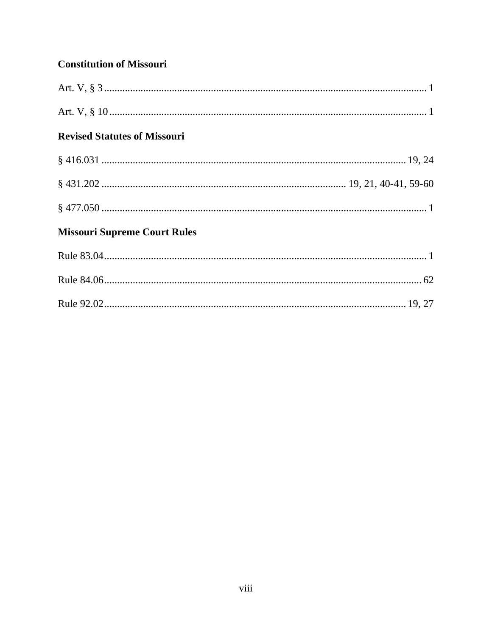## **Constitution of Missouri**

| <b>Revised Statutes of Missouri</b> |  |
|-------------------------------------|--|
|                                     |  |
|                                     |  |
|                                     |  |
| <b>Missouri Supreme Court Rules</b> |  |
|                                     |  |
|                                     |  |
|                                     |  |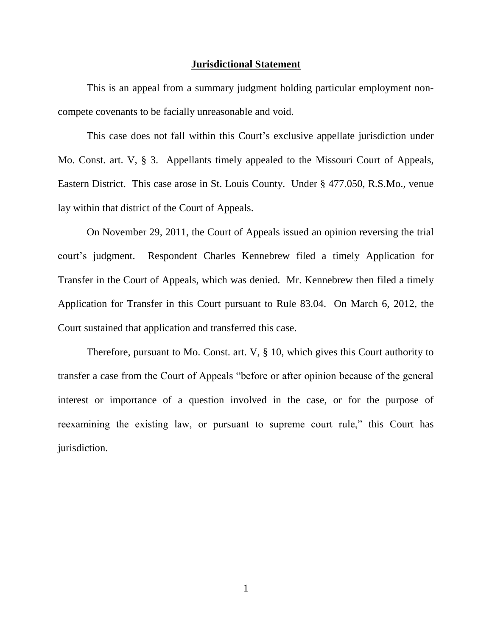#### **Jurisdictional Statement**

This is an appeal from a summary judgment holding particular employment noncompete covenants to be facially unreasonable and void.

This case does not fall within this Court's exclusive appellate jurisdiction under Mo. Const. art. V, § 3. Appellants timely appealed to the Missouri Court of Appeals, Eastern District. This case arose in St. Louis County. Under § 477.050, R.S.Mo., venue lay within that district of the Court of Appeals.

On November 29, 2011, the Court of Appeals issued an opinion reversing the trial court's judgment. Respondent Charles Kennebrew filed a timely Application for Transfer in the Court of Appeals, which was denied. Mr. Kennebrew then filed a timely Application for Transfer in this Court pursuant to Rule 83.04. On March 6, 2012, the Court sustained that application and transferred this case.

Therefore, pursuant to Mo. Const. art. V, § 10, which gives this Court authority to transfer a case from the Court of Appeals "before or after opinion because of the general interest or importance of a question involved in the case, or for the purpose of reexamining the existing law, or pursuant to supreme court rule," this Court has jurisdiction.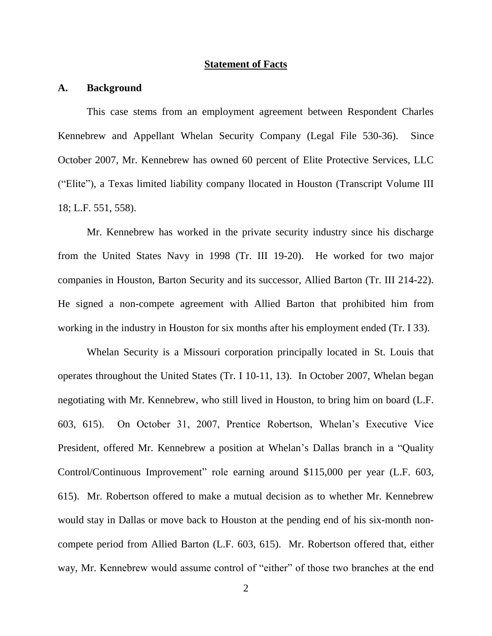#### **Statement of Facts**

#### **A. Background**

This case stems from an employment agreement between Respondent Charles Kennebrew and Appellant Whelan Security Company (Legal File 530-36). Since October 2007, Mr. Kennebrew has owned 60 percent of Elite Protective Services, LLC ("Elite"), a Texas limited liability company llocated in Houston (Transcript Volume III 18; L.F. 551, 558).

Mr. Kennebrew has worked in the private security industry since his discharge from the United States Navy in 1998 (Tr. III 19-20). He worked for two major companies in Houston, Barton Security and its successor, Allied Barton (Tr. III 214-22). He signed a non-compete agreement with Allied Barton that prohibited him from working in the industry in Houston for six months after his employment ended (Tr. I 33).

Whelan Security is a Missouri corporation principally located in St. Louis that operates throughout the United States (Tr. I 10-11, 13). In October 2007, Whelan began negotiating with Mr. Kennebrew, who still lived in Houston, to bring him on board (L.F. 603, 615). On October 31, 2007, Prentice Robertson, Whelan's Executive Vice President, offered Mr. Kennebrew a position at Whelan's Dallas branch in a "Quality Control/Continuous Improvement" role earning around \$115,000 per year (L.F. 603, 615). Mr. Robertson offered to make a mutual decision as to whether Mr. Kennebrew would stay in Dallas or move back to Houston at the pending end of his six-month noncompete period from Allied Barton (L.F. 603, 615). Mr. Robertson offered that, either way, Mr. Kennebrew would assume control of "either" of those two branches at the end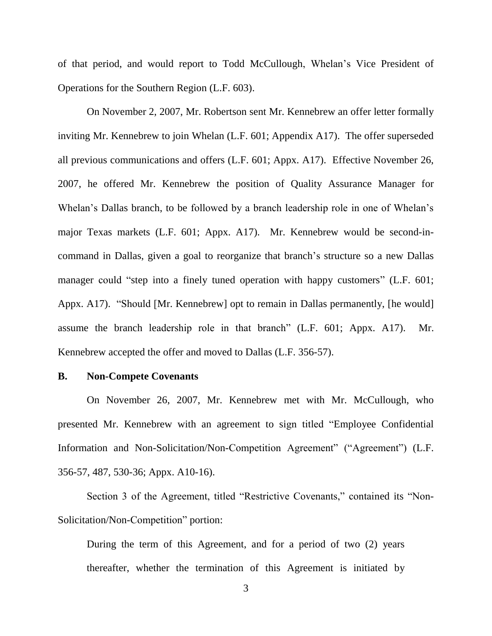of that period, and would report to Todd McCullough, Whelan's Vice President of Operations for the Southern Region (L.F. 603).

On November 2, 2007, Mr. Robertson sent Mr. Kennebrew an offer letter formally inviting Mr. Kennebrew to join Whelan (L.F. 601; Appendix A17). The offer superseded all previous communications and offers (L.F. 601; Appx. A17). Effective November 26, 2007, he offered Mr. Kennebrew the position of Quality Assurance Manager for Whelan's Dallas branch, to be followed by a branch leadership role in one of Whelan's major Texas markets (L.F. 601; Appx. A17). Mr. Kennebrew would be second-incommand in Dallas, given a goal to reorganize that branch's structure so a new Dallas manager could "step into a finely tuned operation with happy customers" (L.F. 601; Appx. A17). "Should [Mr. Kennebrew] opt to remain in Dallas permanently, [he would] assume the branch leadership role in that branch" (L.F. 601; Appx. A17). Mr. Kennebrew accepted the offer and moved to Dallas (L.F. 356-57).

#### **B. Non-Compete Covenants**

On November 26, 2007, Mr. Kennebrew met with Mr. McCullough, who presented Mr. Kennebrew with an agreement to sign titled "Employee Confidential Information and Non-Solicitation/Non-Competition Agreement" ("Agreement") (L.F. 356-57, 487, 530-36; Appx. A10-16).

Section 3 of the Agreement, titled "Restrictive Covenants," contained its "Non-Solicitation/Non-Competition" portion:

During the term of this Agreement, and for a period of two (2) years thereafter, whether the termination of this Agreement is initiated by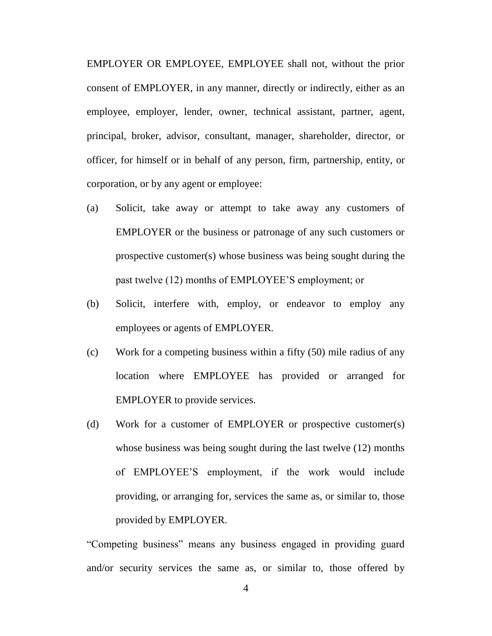EMPLOYER OR EMPLOYEE, EMPLOYEE shall not, without the prior consent of EMPLOYER, in any manner, directly or indirectly, either as an employee, employer, lender, owner, technical assistant, partner, agent, principal, broker, advisor, consultant, manager, shareholder, director, or officer, for himself or in behalf of any person, firm, partnership, entity, or corporation, or by any agent or employee:

- (a) Solicit, take away or attempt to take away any customers of EMPLOYER or the business or patronage of any such customers or prospective customer(s) whose business was being sought during the past twelve (12) months of EMPLOYEE'S employment; or
- (b) Solicit, interfere with, employ, or endeavor to employ any employees or agents of EMPLOYER.
- (c) Work for a competing business within a fifty (50) mile radius of any location where EMPLOYEE has provided or arranged for EMPLOYER to provide services.
- (d) Work for a customer of EMPLOYER or prospective customer(s) whose business was being sought during the last twelve (12) months of EMPLOYEE'S employment, if the work would include providing, or arranging for, services the same as, or similar to, those provided by EMPLOYER.

"Competing business" means any business engaged in providing guard and/or security services the same as, or similar to, those offered by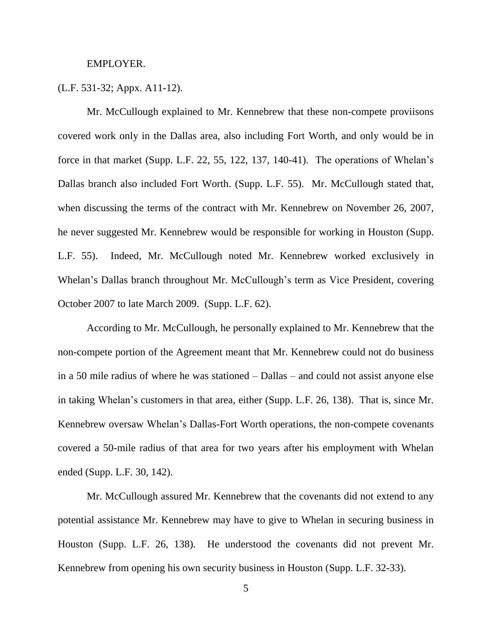#### EMPLOYER.

### (L.F. 531-32; Appx. A11-12).

Mr. McCullough explained to Mr. Kennebrew that these non-compete proviisons covered work only in the Dallas area, also including Fort Worth, and only would be in force in that market (Supp. L.F. 22, 55, 122, 137, 140-41). The operations of Whelan's Dallas branch also included Fort Worth. (Supp. L.F. 55). Mr. McCullough stated that, when discussing the terms of the contract with Mr. Kennebrew on November 26, 2007, he never suggested Mr. Kennebrew would be responsible for working in Houston (Supp. L.F. 55). Indeed, Mr. McCullough noted Mr. Kennebrew worked exclusively in Whelan's Dallas branch throughout Mr. McCullough's term as Vice President, covering October 2007 to late March 2009. (Supp. L.F. 62).

According to Mr. McCullough, he personally explained to Mr. Kennebrew that the non-compete portion of the Agreement meant that Mr. Kennebrew could not do business in a 50 mile radius of where he was stationed – Dallas – and could not assist anyone else in taking Whelan's customers in that area, either (Supp. L.F. 26, 138). That is, since Mr. Kennebrew oversaw Whelan's Dallas-Fort Worth operations, the non-compete covenants covered a 50-mile radius of that area for two years after his employment with Whelan ended (Supp. L.F. 30, 142).

Mr. McCullough assured Mr. Kennebrew that the covenants did not extend to any potential assistance Mr. Kennebrew may have to give to Whelan in securing business in Houston (Supp. L.F. 26, 138). He understood the covenants did not prevent Mr. Kennebrew from opening his own security business in Houston (Supp. L.F. 32-33).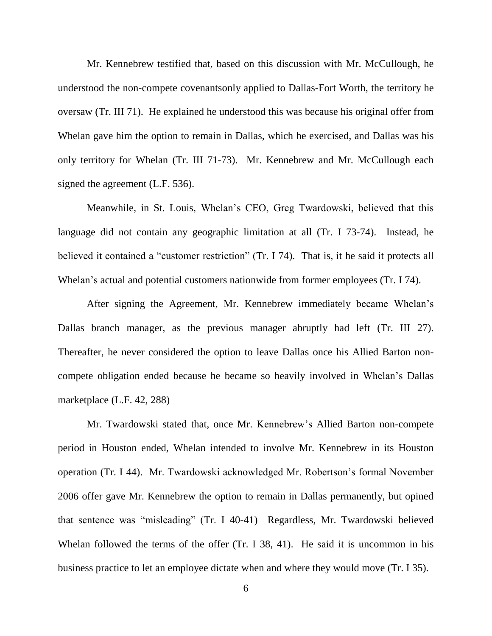Mr. Kennebrew testified that, based on this discussion with Mr. McCullough, he understood the non-compete covenantsonly applied to Dallas-Fort Worth, the territory he oversaw (Tr. III 71). He explained he understood this was because his original offer from Whelan gave him the option to remain in Dallas, which he exercised, and Dallas was his only territory for Whelan (Tr. III 71-73). Mr. Kennebrew and Mr. McCullough each signed the agreement (L.F. 536).

Meanwhile, in St. Louis, Whelan's CEO, Greg Twardowski, believed that this language did not contain any geographic limitation at all (Tr. I 73-74). Instead, he believed it contained a "customer restriction" (Tr. I 74). That is, it he said it protects all Whelan's actual and potential customers nationwide from former employees (Tr. I 74).

After signing the Agreement, Mr. Kennebrew immediately became Whelan's Dallas branch manager, as the previous manager abruptly had left (Tr. III 27). Thereafter, he never considered the option to leave Dallas once his Allied Barton noncompete obligation ended because he became so heavily involved in Whelan's Dallas marketplace (L.F. 42, 288)

Mr. Twardowski stated that, once Mr. Kennebrew's Allied Barton non-compete period in Houston ended, Whelan intended to involve Mr. Kennebrew in its Houston operation (Tr. I 44). Mr. Twardowski acknowledged Mr. Robertson's formal November 2006 offer gave Mr. Kennebrew the option to remain in Dallas permanently, but opined that sentence was "misleading" (Tr. I 40-41) Regardless, Mr. Twardowski believed Whelan followed the terms of the offer (Tr. I 38, 41). He said it is uncommon in his business practice to let an employee dictate when and where they would move (Tr. I 35).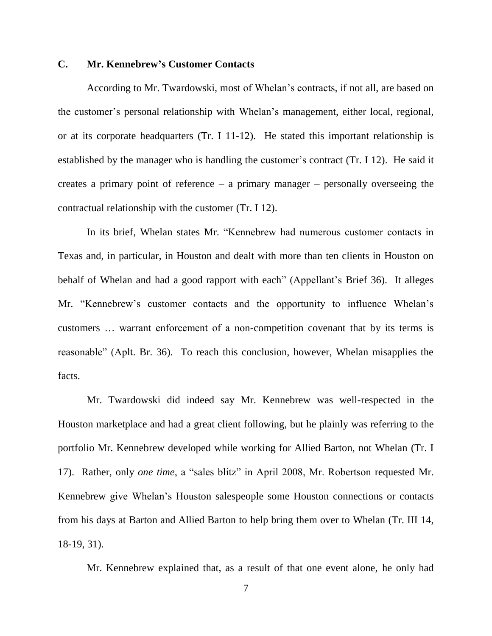### **C. Mr. Kennebrew's Customer Contacts**

According to Mr. Twardowski, most of Whelan's contracts, if not all, are based on the customer's personal relationship with Whelan's management, either local, regional, or at its corporate headquarters (Tr. I 11-12). He stated this important relationship is established by the manager who is handling the customer's contract (Tr. I 12). He said it creates a primary point of reference – a primary manager – personally overseeing the contractual relationship with the customer (Tr. I 12).

In its brief, Whelan states Mr. "Kennebrew had numerous customer contacts in Texas and, in particular, in Houston and dealt with more than ten clients in Houston on behalf of Whelan and had a good rapport with each" (Appellant's Brief 36). It alleges Mr. "Kennebrew's customer contacts and the opportunity to influence Whelan's customers … warrant enforcement of a non-competition covenant that by its terms is reasonable" (Aplt. Br. 36). To reach this conclusion, however, Whelan misapplies the facts.

Mr. Twardowski did indeed say Mr. Kennebrew was well-respected in the Houston marketplace and had a great client following, but he plainly was referring to the portfolio Mr. Kennebrew developed while working for Allied Barton, not Whelan (Tr. I 17). Rather, only *one time*, a "sales blitz" in April 2008, Mr. Robertson requested Mr. Kennebrew give Whelan's Houston salespeople some Houston connections or contacts from his days at Barton and Allied Barton to help bring them over to Whelan (Tr. III 14, 18-19, 31).

Mr. Kennebrew explained that, as a result of that one event alone, he only had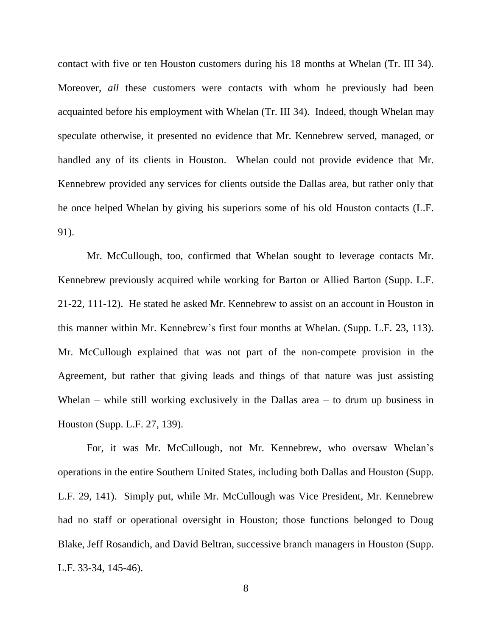contact with five or ten Houston customers during his 18 months at Whelan (Tr. III 34). Moreover, *all* these customers were contacts with whom he previously had been acquainted before his employment with Whelan (Tr. III 34). Indeed, though Whelan may speculate otherwise, it presented no evidence that Mr. Kennebrew served, managed, or handled any of its clients in Houston. Whelan could not provide evidence that Mr. Kennebrew provided any services for clients outside the Dallas area, but rather only that he once helped Whelan by giving his superiors some of his old Houston contacts (L.F. 91).

Mr. McCullough, too, confirmed that Whelan sought to leverage contacts Mr. Kennebrew previously acquired while working for Barton or Allied Barton (Supp. L.F. 21-22, 111-12). He stated he asked Mr. Kennebrew to assist on an account in Houston in this manner within Mr. Kennebrew's first four months at Whelan. (Supp. L.F. 23, 113). Mr. McCullough explained that was not part of the non-compete provision in the Agreement, but rather that giving leads and things of that nature was just assisting Whelan – while still working exclusively in the Dallas area – to drum up business in Houston (Supp. L.F. 27, 139).

For, it was Mr. McCullough, not Mr. Kennebrew, who oversaw Whelan's operations in the entire Southern United States, including both Dallas and Houston (Supp. L.F. 29, 141). Simply put, while Mr. McCullough was Vice President, Mr. Kennebrew had no staff or operational oversight in Houston; those functions belonged to Doug Blake, Jeff Rosandich, and David Beltran, successive branch managers in Houston (Supp. L.F. 33-34, 145-46).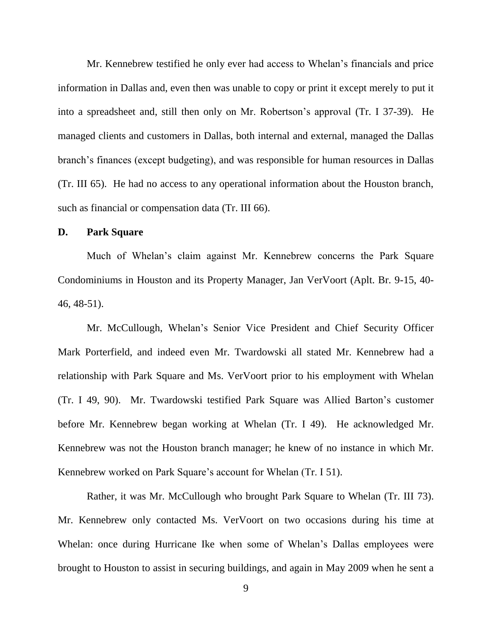Mr. Kennebrew testified he only ever had access to Whelan's financials and price information in Dallas and, even then was unable to copy or print it except merely to put it into a spreadsheet and, still then only on Mr. Robertson's approval (Tr. I 37-39). He managed clients and customers in Dallas, both internal and external, managed the Dallas branch's finances (except budgeting), and was responsible for human resources in Dallas (Tr. III 65). He had no access to any operational information about the Houston branch, such as financial or compensation data (Tr. III 66).

#### **D. Park Square**

Much of Whelan's claim against Mr. Kennebrew concerns the Park Square Condominiums in Houston and its Property Manager, Jan VerVoort (Aplt. Br. 9-15, 40- 46, 48-51).

Mr. McCullough, Whelan's Senior Vice President and Chief Security Officer Mark Porterfield, and indeed even Mr. Twardowski all stated Mr. Kennebrew had a relationship with Park Square and Ms. VerVoort prior to his employment with Whelan (Tr. I 49, 90). Mr. Twardowski testified Park Square was Allied Barton's customer before Mr. Kennebrew began working at Whelan (Tr. I 49). He acknowledged Mr. Kennebrew was not the Houston branch manager; he knew of no instance in which Mr. Kennebrew worked on Park Square's account for Whelan (Tr. I 51).

Rather, it was Mr. McCullough who brought Park Square to Whelan (Tr. III 73). Mr. Kennebrew only contacted Ms. VerVoort on two occasions during his time at Whelan: once during Hurricane Ike when some of Whelan's Dallas employees were brought to Houston to assist in securing buildings, and again in May 2009 when he sent a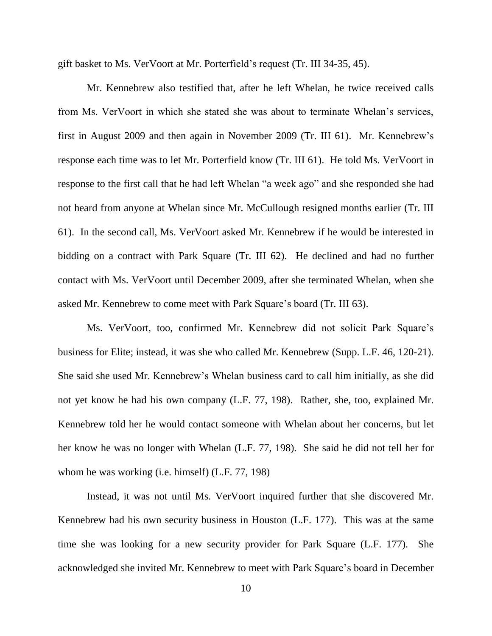gift basket to Ms. VerVoort at Mr. Porterfield's request (Tr. III 34-35, 45).

Mr. Kennebrew also testified that, after he left Whelan, he twice received calls from Ms. VerVoort in which she stated she was about to terminate Whelan's services, first in August 2009 and then again in November 2009 (Tr. III 61). Mr. Kennebrew's response each time was to let Mr. Porterfield know (Tr. III 61). He told Ms. VerVoort in response to the first call that he had left Whelan "a week ago" and she responded she had not heard from anyone at Whelan since Mr. McCullough resigned months earlier (Tr. III 61). In the second call, Ms. VerVoort asked Mr. Kennebrew if he would be interested in bidding on a contract with Park Square (Tr. III 62). He declined and had no further contact with Ms. VerVoort until December 2009, after she terminated Whelan, when she asked Mr. Kennebrew to come meet with Park Square's board (Tr. III 63).

Ms. VerVoort, too, confirmed Mr. Kennebrew did not solicit Park Square's business for Elite; instead, it was she who called Mr. Kennebrew (Supp. L.F. 46, 120-21). She said she used Mr. Kennebrew's Whelan business card to call him initially, as she did not yet know he had his own company (L.F. 77, 198). Rather, she, too, explained Mr. Kennebrew told her he would contact someone with Whelan about her concerns, but let her know he was no longer with Whelan (L.F. 77, 198). She said he did not tell her for whom he was working (i.e. himself) (L.F. 77, 198)

Instead, it was not until Ms. VerVoort inquired further that she discovered Mr. Kennebrew had his own security business in Houston (L.F. 177). This was at the same time she was looking for a new security provider for Park Square (L.F. 177). She acknowledged she invited Mr. Kennebrew to meet with Park Square's board in December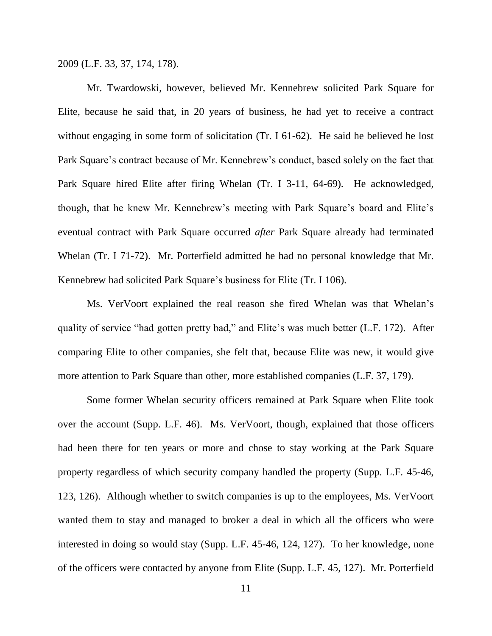2009 (L.F. 33, 37, 174, 178).

Mr. Twardowski, however, believed Mr. Kennebrew solicited Park Square for Elite, because he said that, in 20 years of business, he had yet to receive a contract without engaging in some form of solicitation (Tr. I 61-62). He said he believed he lost Park Square's contract because of Mr. Kennebrew's conduct, based solely on the fact that Park Square hired Elite after firing Whelan (Tr. I 3-11, 64-69). He acknowledged, though, that he knew Mr. Kennebrew's meeting with Park Square's board and Elite's eventual contract with Park Square occurred *after* Park Square already had terminated Whelan (Tr. I 71-72). Mr. Porterfield admitted he had no personal knowledge that Mr. Kennebrew had solicited Park Square's business for Elite (Tr. I 106).

Ms. VerVoort explained the real reason she fired Whelan was that Whelan's quality of service "had gotten pretty bad," and Elite's was much better (L.F. 172). After comparing Elite to other companies, she felt that, because Elite was new, it would give more attention to Park Square than other, more established companies (L.F. 37, 179).

Some former Whelan security officers remained at Park Square when Elite took over the account (Supp. L.F. 46). Ms. VerVoort, though, explained that those officers had been there for ten years or more and chose to stay working at the Park Square property regardless of which security company handled the property (Supp. L.F. 45-46, 123, 126). Although whether to switch companies is up to the employees, Ms. VerVoort wanted them to stay and managed to broker a deal in which all the officers who were interested in doing so would stay (Supp. L.F. 45-46, 124, 127). To her knowledge, none of the officers were contacted by anyone from Elite (Supp. L.F. 45, 127). Mr. Porterfield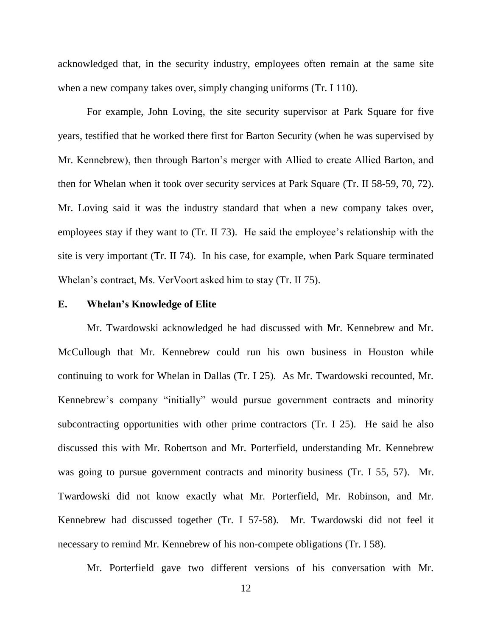acknowledged that, in the security industry, employees often remain at the same site when a new company takes over, simply changing uniforms (Tr. I 110).

For example, John Loving, the site security supervisor at Park Square for five years, testified that he worked there first for Barton Security (when he was supervised by Mr. Kennebrew), then through Barton's merger with Allied to create Allied Barton, and then for Whelan when it took over security services at Park Square (Tr. II 58-59, 70, 72). Mr. Loving said it was the industry standard that when a new company takes over, employees stay if they want to (Tr. II 73). He said the employee's relationship with the site is very important (Tr. II 74). In his case, for example, when Park Square terminated Whelan's contract, Ms. VerVoort asked him to stay (Tr. II 75).

#### **E. Whelan's Knowledge of Elite**

Mr. Twardowski acknowledged he had discussed with Mr. Kennebrew and Mr. McCullough that Mr. Kennebrew could run his own business in Houston while continuing to work for Whelan in Dallas (Tr. I 25). As Mr. Twardowski recounted, Mr. Kennebrew's company "initially" would pursue government contracts and minority subcontracting opportunities with other prime contractors (Tr. I 25). He said he also discussed this with Mr. Robertson and Mr. Porterfield, understanding Mr. Kennebrew was going to pursue government contracts and minority business (Tr. I 55, 57). Mr. Twardowski did not know exactly what Mr. Porterfield, Mr. Robinson, and Mr. Kennebrew had discussed together (Tr. I 57-58). Mr. Twardowski did not feel it necessary to remind Mr. Kennebrew of his non-compete obligations (Tr. I 58).

Mr. Porterfield gave two different versions of his conversation with Mr.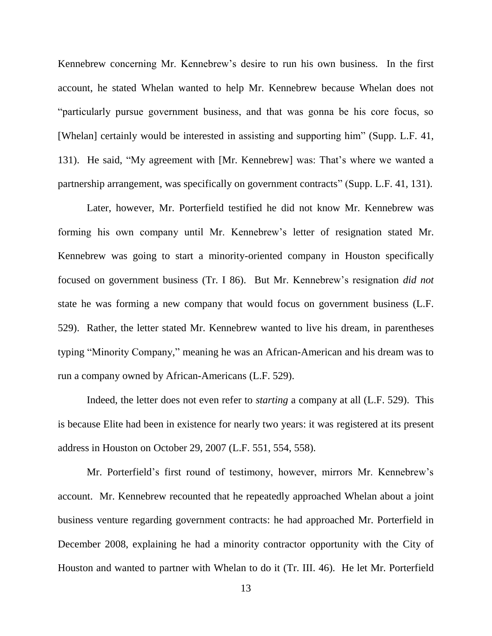Kennebrew concerning Mr. Kennebrew's desire to run his own business. In the first account, he stated Whelan wanted to help Mr. Kennebrew because Whelan does not "particularly pursue government business, and that was gonna be his core focus, so [Whelan] certainly would be interested in assisting and supporting him" (Supp. L.F. 41, 131). He said, "My agreement with [Mr. Kennebrew] was: That's where we wanted a partnership arrangement, was specifically on government contracts" (Supp. L.F. 41, 131).

Later, however, Mr. Porterfield testified he did not know Mr. Kennebrew was forming his own company until Mr. Kennebrew's letter of resignation stated Mr. Kennebrew was going to start a minority-oriented company in Houston specifically focused on government business (Tr. I 86). But Mr. Kennebrew's resignation *did not* state he was forming a new company that would focus on government business (L.F. 529). Rather, the letter stated Mr. Kennebrew wanted to live his dream, in parentheses typing "Minority Company," meaning he was an African-American and his dream was to run a company owned by African-Americans (L.F. 529).

Indeed, the letter does not even refer to *starting* a company at all (L.F. 529). This is because Elite had been in existence for nearly two years: it was registered at its present address in Houston on October 29, 2007 (L.F. 551, 554, 558).

Mr. Porterfield's first round of testimony, however, mirrors Mr. Kennebrew's account. Mr. Kennebrew recounted that he repeatedly approached Whelan about a joint business venture regarding government contracts: he had approached Mr. Porterfield in December 2008, explaining he had a minority contractor opportunity with the City of Houston and wanted to partner with Whelan to do it (Tr. III. 46). He let Mr. Porterfield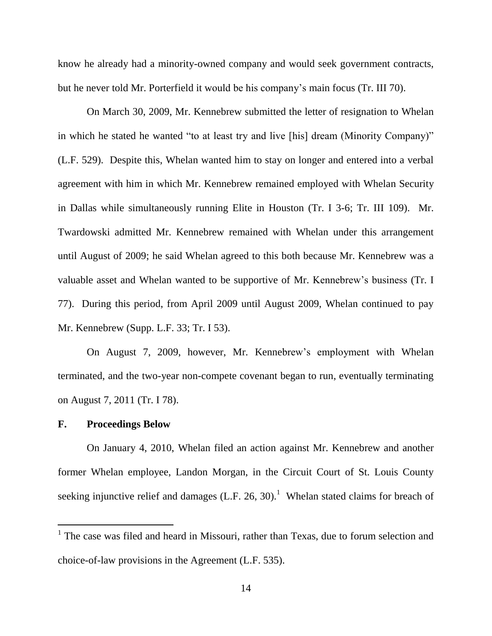know he already had a minority-owned company and would seek government contracts, but he never told Mr. Porterfield it would be his company's main focus (Tr. III 70).

On March 30, 2009, Mr. Kennebrew submitted the letter of resignation to Whelan in which he stated he wanted "to at least try and live [his] dream (Minority Company)" (L.F. 529). Despite this, Whelan wanted him to stay on longer and entered into a verbal agreement with him in which Mr. Kennebrew remained employed with Whelan Security in Dallas while simultaneously running Elite in Houston (Tr. I 3-6; Tr. III 109). Mr. Twardowski admitted Mr. Kennebrew remained with Whelan under this arrangement until August of 2009; he said Whelan agreed to this both because Mr. Kennebrew was a valuable asset and Whelan wanted to be supportive of Mr. Kennebrew's business (Tr. I 77). During this period, from April 2009 until August 2009, Whelan continued to pay Mr. Kennebrew (Supp. L.F. 33; Tr. I 53).

On August 7, 2009, however, Mr. Kennebrew's employment with Whelan terminated, and the two-year non-compete covenant began to run, eventually terminating on August 7, 2011 (Tr. I 78).

### **F. Proceedings Below**

l

On January 4, 2010, Whelan filed an action against Mr. Kennebrew and another former Whelan employee, Landon Morgan, in the Circuit Court of St. Louis County seeking injunctive relief and damages  $(L.F. 26, 30).$ <sup>1</sup> Whelan stated claims for breach of

<sup>&</sup>lt;sup>1</sup> The case was filed and heard in Missouri, rather than Texas, due to forum selection and choice-of-law provisions in the Agreement (L.F. 535).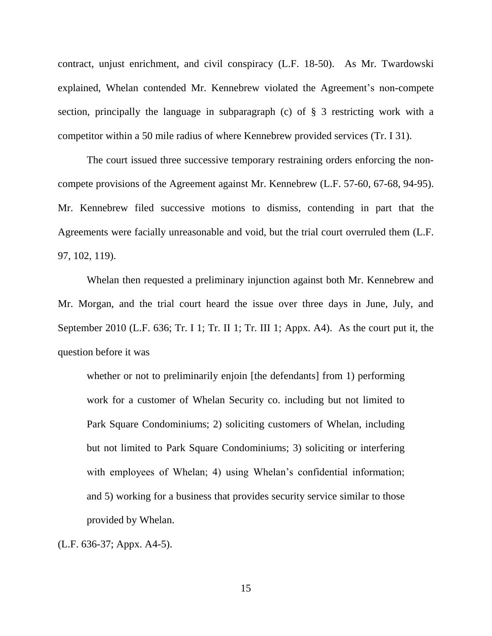contract, unjust enrichment, and civil conspiracy (L.F. 18-50). As Mr. Twardowski explained, Whelan contended Mr. Kennebrew violated the Agreement's non-compete section, principally the language in subparagraph (c) of § 3 restricting work with a competitor within a 50 mile radius of where Kennebrew provided services (Tr. I 31).

The court issued three successive temporary restraining orders enforcing the noncompete provisions of the Agreement against Mr. Kennebrew (L.F. 57-60, 67-68, 94-95). Mr. Kennebrew filed successive motions to dismiss, contending in part that the Agreements were facially unreasonable and void, but the trial court overruled them (L.F. 97, 102, 119).

Whelan then requested a preliminary injunction against both Mr. Kennebrew and Mr. Morgan, and the trial court heard the issue over three days in June, July, and September 2010 (L.F. 636; Tr. I 1; Tr. II 1; Tr. III 1; Appx. A4). As the court put it, the question before it was

whether or not to preliminarily enjoin [the defendants] from 1) performing work for a customer of Whelan Security co. including but not limited to Park Square Condominiums; 2) soliciting customers of Whelan, including but not limited to Park Square Condominiums; 3) soliciting or interfering with employees of Whelan; 4) using Whelan's confidential information; and 5) working for a business that provides security service similar to those provided by Whelan.

(L.F. 636-37; Appx. A4-5).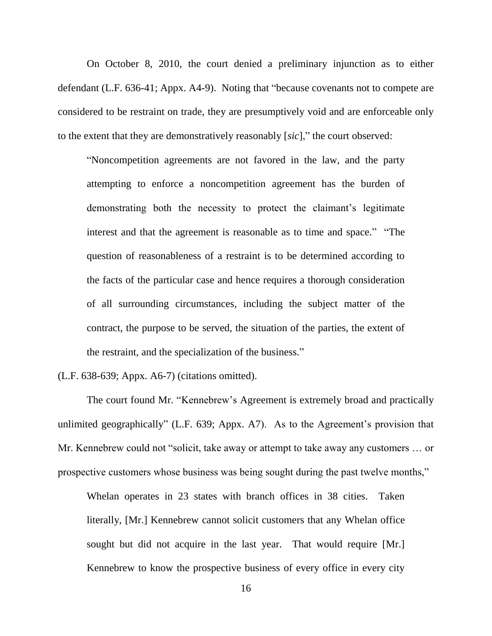On October 8, 2010, the court denied a preliminary injunction as to either defendant (L.F. 636-41; Appx. A4-9). Noting that "because covenants not to compete are considered to be restraint on trade, they are presumptively void and are enforceable only to the extent that they are demonstratively reasonably [*sic*]," the court observed:

"Noncompetition agreements are not favored in the law, and the party attempting to enforce a noncompetition agreement has the burden of demonstrating both the necessity to protect the claimant's legitimate interest and that the agreement is reasonable as to time and space." "The question of reasonableness of a restraint is to be determined according to the facts of the particular case and hence requires a thorough consideration of all surrounding circumstances, including the subject matter of the contract, the purpose to be served, the situation of the parties, the extent of the restraint, and the specialization of the business."

(L.F. 638-639; Appx. A6-7) (citations omitted).

The court found Mr. "Kennebrew's Agreement is extremely broad and practically unlimited geographically" (L.F. 639; Appx. A7). As to the Agreement's provision that Mr. Kennebrew could not "solicit, take away or attempt to take away any customers … or prospective customers whose business was being sought during the past twelve months,"

Whelan operates in 23 states with branch offices in 38 cities. Taken literally, [Mr.] Kennebrew cannot solicit customers that any Whelan office sought but did not acquire in the last year. That would require [Mr.] Kennebrew to know the prospective business of every office in every city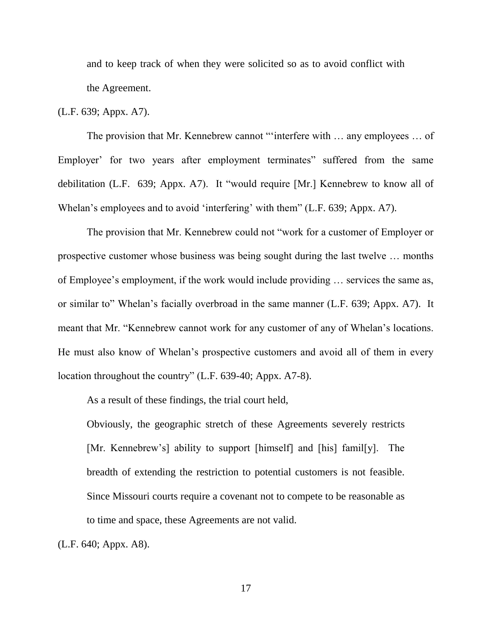and to keep track of when they were solicited so as to avoid conflict with the Agreement.

### (L.F. 639; Appx. A7).

The provision that Mr. Kennebrew cannot "'interfere with … any employees … of Employer' for two years after employment terminates" suffered from the same debilitation (L.F. 639; Appx. A7). It "would require [Mr.] Kennebrew to know all of Whelan's employees and to avoid 'interfering' with them" (L.F. 639; Appx. A7).

The provision that Mr. Kennebrew could not "work for a customer of Employer or prospective customer whose business was being sought during the last twelve … months of Employee's employment, if the work would include providing … services the same as, or similar to" Whelan's facially overbroad in the same manner (L.F. 639; Appx. A7). It meant that Mr. "Kennebrew cannot work for any customer of any of Whelan's locations. He must also know of Whelan's prospective customers and avoid all of them in every location throughout the country" (L.F. 639-40; Appx. A7-8).

As a result of these findings, the trial court held,

Obviously, the geographic stretch of these Agreements severely restricts [Mr. Kennebrew's] ability to support [himself] and [his] famil[y]. The breadth of extending the restriction to potential customers is not feasible. Since Missouri courts require a covenant not to compete to be reasonable as to time and space, these Agreements are not valid.

(L.F. 640; Appx. A8).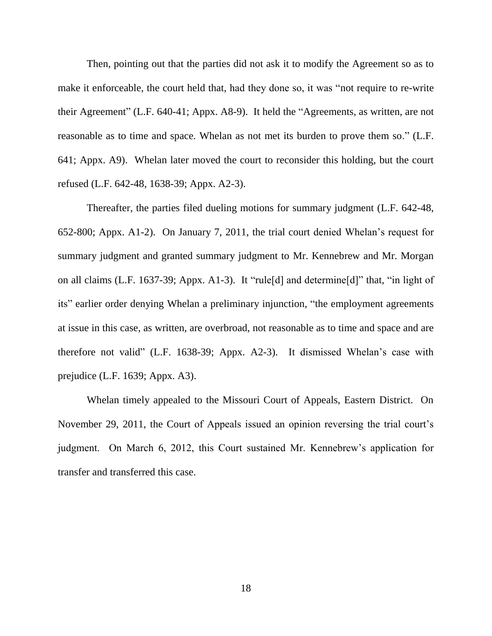Then, pointing out that the parties did not ask it to modify the Agreement so as to make it enforceable, the court held that, had they done so, it was "not require to re-write their Agreement" (L.F. 640-41; Appx. A8-9). It held the "Agreements, as written, are not reasonable as to time and space. Whelan as not met its burden to prove them so." (L.F. 641; Appx. A9). Whelan later moved the court to reconsider this holding, but the court refused (L.F. 642-48, 1638-39; Appx. A2-3).

Thereafter, the parties filed dueling motions for summary judgment (L.F. 642-48, 652-800; Appx. A1-2). On January 7, 2011, the trial court denied Whelan's request for summary judgment and granted summary judgment to Mr. Kennebrew and Mr. Morgan on all claims (L.F. 1637-39; Appx. A1-3). It "rule[d] and determine[d]" that, "in light of its" earlier order denying Whelan a preliminary injunction, "the employment agreements at issue in this case, as written, are overbroad, not reasonable as to time and space and are therefore not valid" (L.F. 1638-39; Appx. A2-3). It dismissed Whelan's case with prejudice (L.F. 1639; Appx. A3).

Whelan timely appealed to the Missouri Court of Appeals, Eastern District. On November 29, 2011, the Court of Appeals issued an opinion reversing the trial court's judgment. On March 6, 2012, this Court sustained Mr. Kennebrew's application for transfer and transferred this case.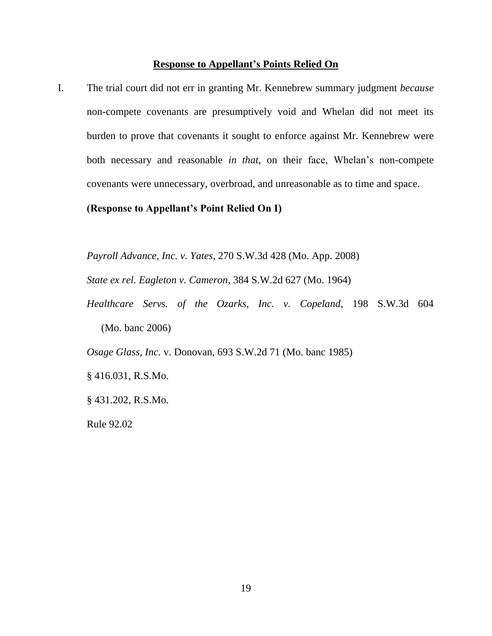#### **Response to Appellant's Points Relied On**

I. The trial court did not err in granting Mr. Kennebrew summary judgment *because* non-compete covenants are presumptively void and Whelan did not meet its burden to prove that covenants it sought to enforce against Mr. Kennebrew were both necessary and reasonable *in that*, on their face, Whelan's non-compete covenants were unnecessary, overbroad, and unreasonable as to time and space.

**(Response to Appellant's Point Relied On I)**

*Payroll Advance, Inc. v. Yates*, 270 S.W.3d 428 (Mo. App. 2008)

*State ex rel. Eagleton v. Cameron*, 384 S.W.2d 627 (Mo. 1964)

*Healthcare Servs. of the Ozarks, Inc. v. Copeland*, 198 S.W.3d 604 (Mo. banc 2006)

*Osage Glass, Inc.* v. Donovan, 693 S.W.2d 71 (Mo. banc 1985)

§ 416.031, R.S.Mo.

§ 431.202, R.S.Mo.

Rule 92.02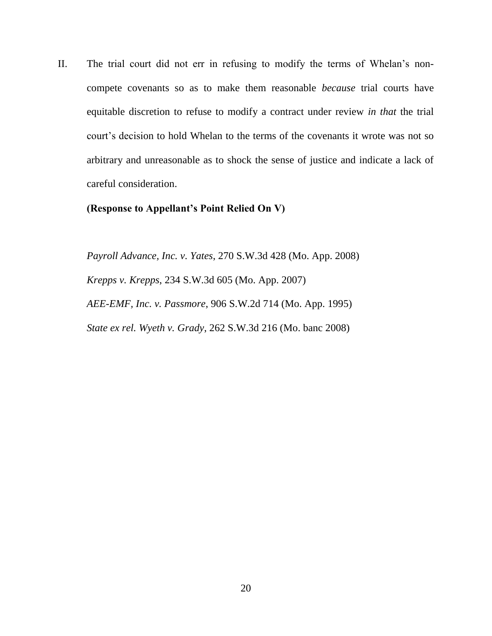II. The trial court did not err in refusing to modify the terms of Whelan's noncompete covenants so as to make them reasonable *because* trial courts have equitable discretion to refuse to modify a contract under review *in that* the trial court's decision to hold Whelan to the terms of the covenants it wrote was not so arbitrary and unreasonable as to shock the sense of justice and indicate a lack of careful consideration.

### **(Response to Appellant's Point Relied On V)**

*Payroll Advance, Inc. v. Yates*, 270 S.W.3d 428 (Mo. App. 2008) *Krepps v. Krepps*, 234 S.W.3d 605 (Mo. App. 2007) *AEE-EMF, Inc. v. Passmore*, 906 S.W.2d 714 (Mo. App. 1995) *State ex rel. Wyeth v. Grady*, 262 S.W.3d 216 (Mo. banc 2008)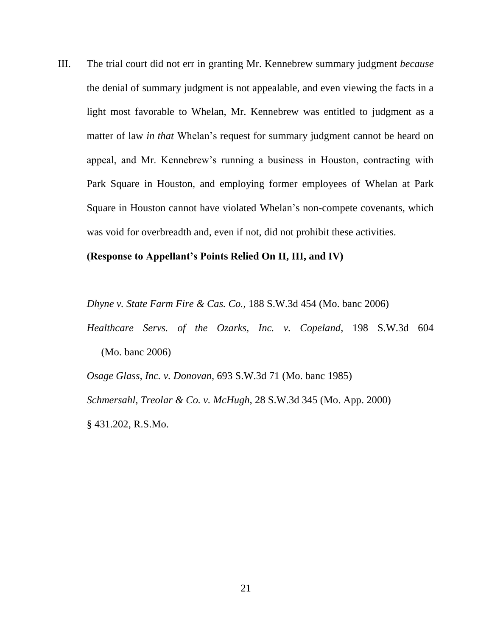III. The trial court did not err in granting Mr. Kennebrew summary judgment *because* the denial of summary judgment is not appealable, and even viewing the facts in a light most favorable to Whelan, Mr. Kennebrew was entitled to judgment as a matter of law *in that* Whelan's request for summary judgment cannot be heard on appeal, and Mr. Kennebrew's running a business in Houston, contracting with Park Square in Houston, and employing former employees of Whelan at Park Square in Houston cannot have violated Whelan's non-compete covenants, which was void for overbreadth and, even if not, did not prohibit these activities.

#### **(Response to Appellant's Points Relied On II, III, and IV)**

*Dhyne v. State Farm Fire & Cas. Co.*, 188 S.W.3d 454 (Mo. banc 2006)

*Healthcare Servs. of the Ozarks, Inc. v. Copeland*, 198 S.W.3d 604 (Mo. banc 2006)

*Osage Glass, Inc. v. Donovan*, 693 S.W.3d 71 (Mo. banc 1985) *Schmersahl, Treolar & Co. v. McHugh*, 28 S.W.3d 345 (Mo. App. 2000) § 431.202, R.S.Mo.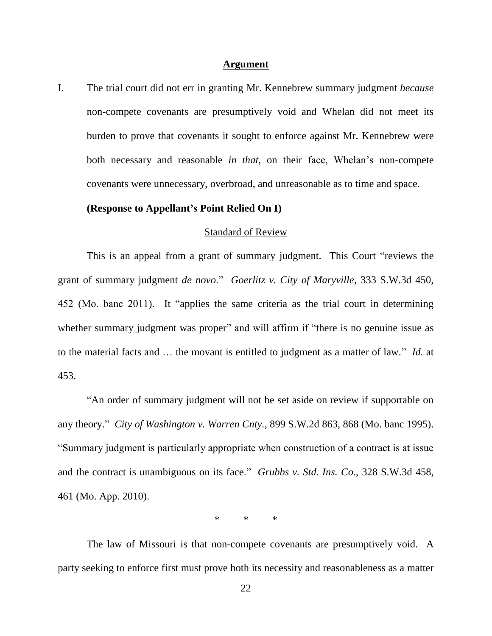#### **Argument**

I. The trial court did not err in granting Mr. Kennebrew summary judgment *because* non-compete covenants are presumptively void and Whelan did not meet its burden to prove that covenants it sought to enforce against Mr. Kennebrew were both necessary and reasonable *in that*, on their face, Whelan's non-compete covenants were unnecessary, overbroad, and unreasonable as to time and space.

### **(Response to Appellant's Point Relied On I)**

#### Standard of Review

This is an appeal from a grant of summary judgment. This Court "reviews the grant of summary judgment *de novo*." *Goerlitz v. City of Maryville*, 333 S.W.3d 450, 452 (Mo. banc 2011). It "applies the same criteria as the trial court in determining whether summary judgment was proper" and will affirm if "there is no genuine issue as to the material facts and … the movant is entitled to judgment as a matter of law." *Id.* at 453.

"An order of summary judgment will not be set aside on review if supportable on any theory." *City of Washington v. Warren Cnty.*, 899 S.W.2d 863, 868 (Mo. banc 1995). "Summary judgment is particularly appropriate when construction of a contract is at issue and the contract is unambiguous on its face." *Grubbs v. Std. Ins. Co.*, 328 S.W.3d 458, 461 (Mo. App. 2010).

\* \* \*

The law of Missouri is that non-compete covenants are presumptively void. A party seeking to enforce first must prove both its necessity and reasonableness as a matter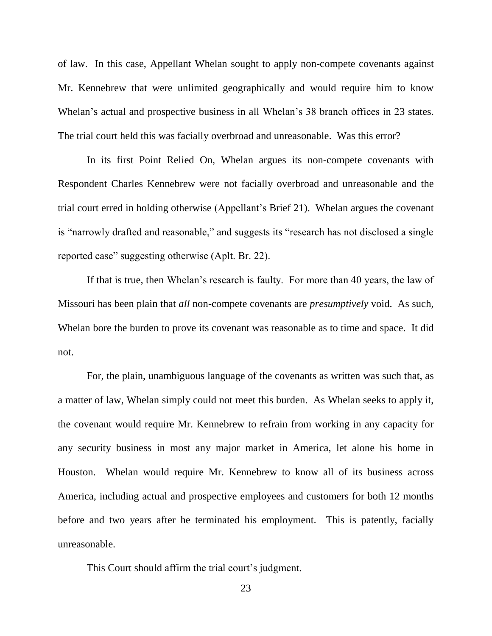of law. In this case, Appellant Whelan sought to apply non-compete covenants against Mr. Kennebrew that were unlimited geographically and would require him to know Whelan's actual and prospective business in all Whelan's 38 branch offices in 23 states. The trial court held this was facially overbroad and unreasonable. Was this error?

In its first Point Relied On, Whelan argues its non-compete covenants with Respondent Charles Kennebrew were not facially overbroad and unreasonable and the trial court erred in holding otherwise (Appellant's Brief 21). Whelan argues the covenant is "narrowly drafted and reasonable," and suggests its "research has not disclosed a single reported case" suggesting otherwise (Aplt. Br. 22).

If that is true, then Whelan's research is faulty. For more than 40 years, the law of Missouri has been plain that *all* non-compete covenants are *presumptively* void. As such, Whelan bore the burden to prove its covenant was reasonable as to time and space. It did not.

For, the plain, unambiguous language of the covenants as written was such that, as a matter of law, Whelan simply could not meet this burden. As Whelan seeks to apply it, the covenant would require Mr. Kennebrew to refrain from working in any capacity for any security business in most any major market in America, let alone his home in Houston. Whelan would require Mr. Kennebrew to know all of its business across America, including actual and prospective employees and customers for both 12 months before and two years after he terminated his employment. This is patently, facially unreasonable.

This Court should affirm the trial court's judgment.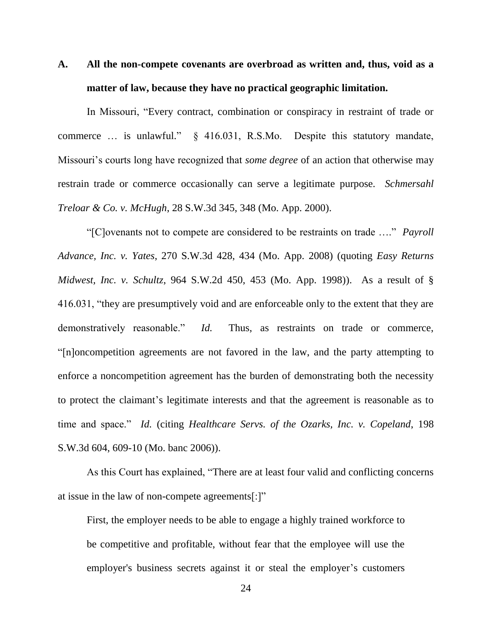# **A. All the non-compete covenants are overbroad as written and, thus, void as a matter of law, because they have no practical geographic limitation.**

In Missouri, "Every contract, combination or conspiracy in restraint of trade or commerce … is unlawful." § 416.031, R.S.Mo. Despite this statutory mandate, Missouri's courts long have recognized that *some degree* of an action that otherwise may restrain trade or commerce occasionally can serve a legitimate purpose. *Schmersahl Treloar & Co. v. McHugh*, 28 S.W.3d 345, 348 (Mo. App. 2000).

"[C]ovenants not to compete are considered to be restraints on trade …." *Payroll Advance, Inc. v. Yates*, 270 S.W.3d 428, 434 (Mo. App. 2008) (quoting *Easy Returns Midwest, Inc. v. Schultz*, 964 S.W.2d 450, 453 (Mo. App. 1998)). As a result of § 416.031, "they are presumptively void and are enforceable only to the extent that they are demonstratively reasonable." *Id.* Thus, as restraints on trade or commerce, "[n]oncompetition agreements are not favored in the law, and the party attempting to enforce a noncompetition agreement has the burden of demonstrating both the necessity to protect the claimant's legitimate interests and that the agreement is reasonable as to time and space." *Id.* (citing *Healthcare Servs. of the Ozarks, Inc. v. Copeland*, 198 S.W.3d 604, 609-10 (Mo. banc 2006)).

As this Court has explained, "There are at least four valid and conflicting concerns at issue in the law of non-compete agreements[:]"

First, the employer needs to be able to engage a highly trained workforce to be competitive and profitable, without fear that the employee will use the employer's business secrets against it or steal the employer's customers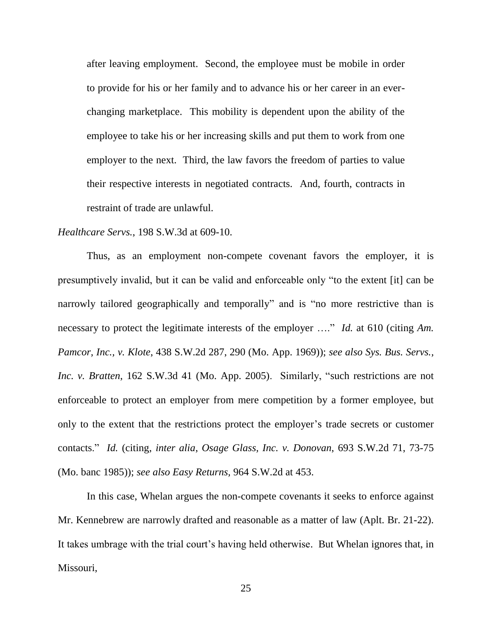after leaving employment. Second, the employee must be mobile in order to provide for his or her family and to advance his or her career in an everchanging marketplace. This mobility is dependent upon the ability of the employee to take his or her increasing skills and put them to work from one employer to the next. Third, the law favors the freedom of parties to value their respective interests in negotiated contracts. And, fourth, contracts in restraint of trade are unlawful.

#### *Healthcare Servs.*, 198 S.W.3d at 609-10.

Thus, as an employment non-compete covenant favors the employer, it is presumptively invalid, but it can be valid and enforceable only "to the extent [it] can be narrowly tailored geographically and temporally" and is "no more restrictive than is necessary to protect the legitimate interests of the employer …." *Id.* at 610 (citing *Am. Pamcor, Inc., v. Klote*, 438 S.W.2d 287, 290 (Mo. App. 1969)); *see also Sys. Bus. Servs., Inc. v. Bratten*, 162 S.W.3d 41 (Mo. App. 2005). Similarly, "such restrictions are not enforceable to protect an employer from mere competition by a former employee, but only to the extent that the restrictions protect the employer's trade secrets or customer contacts." *Id.* (citing, *inter alia*, *Osage Glass, Inc. v. Donovan*, 693 S.W.2d 71, 73-75 (Mo. banc 1985)); *see also Easy Returns,* 964 S.W.2d at 453.

In this case, Whelan argues the non-compete covenants it seeks to enforce against Mr. Kennebrew are narrowly drafted and reasonable as a matter of law (Aplt. Br. 21-22). It takes umbrage with the trial court's having held otherwise. But Whelan ignores that, in Missouri,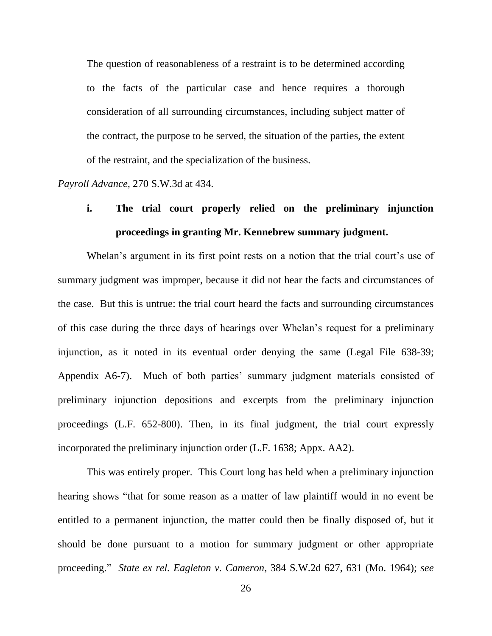The question of reasonableness of a restraint is to be determined according to the facts of the particular case and hence requires a thorough consideration of all surrounding circumstances, including subject matter of the contract, the purpose to be served, the situation of the parties, the extent of the restraint, and the specialization of the business.

*Payroll Advance,* 270 S.W.3d at 434.

# **i. The trial court properly relied on the preliminary injunction proceedings in granting Mr. Kennebrew summary judgment.**

Whelan's argument in its first point rests on a notion that the trial court's use of summary judgment was improper, because it did not hear the facts and circumstances of the case. But this is untrue: the trial court heard the facts and surrounding circumstances of this case during the three days of hearings over Whelan's request for a preliminary injunction, as it noted in its eventual order denying the same (Legal File 638-39; Appendix A6-7). Much of both parties' summary judgment materials consisted of preliminary injunction depositions and excerpts from the preliminary injunction proceedings (L.F. 652-800). Then, in its final judgment, the trial court expressly incorporated the preliminary injunction order (L.F. 1638; Appx. AA2).

This was entirely proper. This Court long has held when a preliminary injunction hearing shows "that for some reason as a matter of law plaintiff would in no event be entitled to a permanent injunction, the matter could then be finally disposed of, but it should be done pursuant to a motion for summary judgment or other appropriate proceeding." *State ex rel. Eagleton v. Cameron*, 384 S.W.2d 627, 631 (Mo. 1964); *see*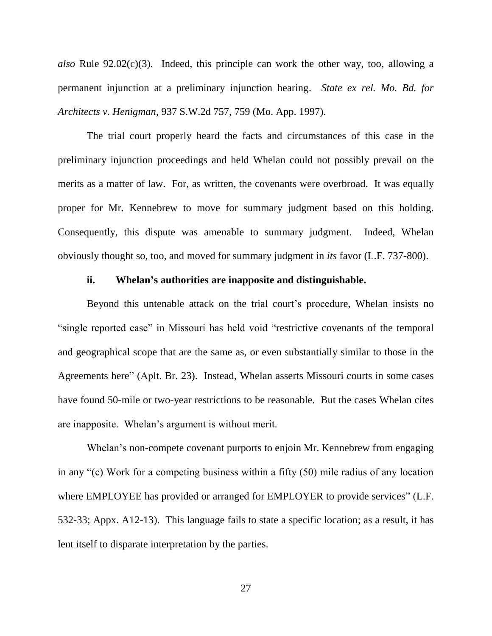*also* Rule 92.02(c)(3). Indeed, this principle can work the other way, too, allowing a permanent injunction at a preliminary injunction hearing. *State ex rel. Mo. Bd. for Architects v. Henigman*, 937 S.W.2d 757, 759 (Mo. App. 1997).

The trial court properly heard the facts and circumstances of this case in the preliminary injunction proceedings and held Whelan could not possibly prevail on the merits as a matter of law. For, as written, the covenants were overbroad. It was equally proper for Mr. Kennebrew to move for summary judgment based on this holding. Consequently, this dispute was amenable to summary judgment. Indeed, Whelan obviously thought so, too, and moved for summary judgment in *its* favor (L.F. 737-800).

#### **ii. Whelan's authorities are inapposite and distinguishable.**

Beyond this untenable attack on the trial court's procedure, Whelan insists no "single reported case" in Missouri has held void "restrictive covenants of the temporal and geographical scope that are the same as, or even substantially similar to those in the Agreements here" (Aplt. Br. 23). Instead, Whelan asserts Missouri courts in some cases have found 50-mile or two-year restrictions to be reasonable. But the cases Whelan cites are inapposite. Whelan's argument is without merit.

Whelan's non-compete covenant purports to enjoin Mr. Kennebrew from engaging in any "(c) Work for a competing business within a fifty (50) mile radius of any location where EMPLOYEE has provided or arranged for EMPLOYER to provide services" (L.F. 532-33; Appx. A12-13). This language fails to state a specific location; as a result, it has lent itself to disparate interpretation by the parties.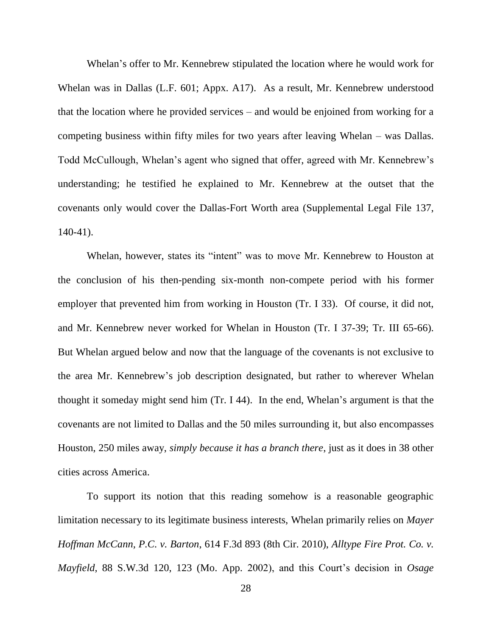Whelan's offer to Mr. Kennebrew stipulated the location where he would work for Whelan was in Dallas (L.F. 601; Appx. A17). As a result, Mr. Kennebrew understood that the location where he provided services – and would be enjoined from working for a competing business within fifty miles for two years after leaving Whelan – was Dallas. Todd McCullough, Whelan's agent who signed that offer, agreed with Mr. Kennebrew's understanding; he testified he explained to Mr. Kennebrew at the outset that the covenants only would cover the Dallas-Fort Worth area (Supplemental Legal File 137, 140-41).

Whelan, however, states its "intent" was to move Mr. Kennebrew to Houston at the conclusion of his then-pending six-month non-compete period with his former employer that prevented him from working in Houston (Tr. I 33). Of course, it did not, and Mr. Kennebrew never worked for Whelan in Houston (Tr. I 37-39; Tr. III 65-66). But Whelan argued below and now that the language of the covenants is not exclusive to the area Mr. Kennebrew's job description designated, but rather to wherever Whelan thought it someday might send him (Tr. I 44). In the end, Whelan's argument is that the covenants are not limited to Dallas and the 50 miles surrounding it, but also encompasses Houston, 250 miles away, *simply because it has a branch there*, just as it does in 38 other cities across America.

To support its notion that this reading somehow is a reasonable geographic limitation necessary to its legitimate business interests, Whelan primarily relies on *Mayer Hoffman McCann, P.C. v. Barton*, 614 F.3d 893 (8th Cir. 2010), *Alltype Fire Prot. Co. v. Mayfield*, 88 S.W.3d 120, 123 (Mo. App. 2002), and this Court's decision in *Osage*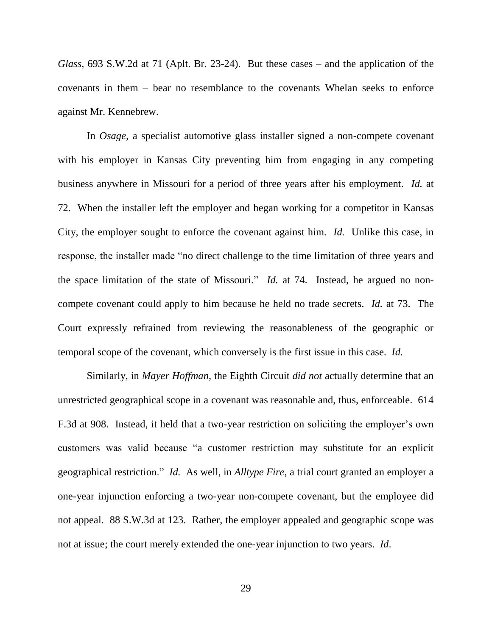*Glass*, 693 S.W.2d at 71 (Aplt. Br. 23-24). But these cases – and the application of the covenants in them – bear no resemblance to the covenants Whelan seeks to enforce against Mr. Kennebrew.

In *Osage*, a specialist automotive glass installer signed a non-compete covenant with his employer in Kansas City preventing him from engaging in any competing business anywhere in Missouri for a period of three years after his employment. *Id.* at 72. When the installer left the employer and began working for a competitor in Kansas City, the employer sought to enforce the covenant against him. *Id.* Unlike this case, in response, the installer made "no direct challenge to the time limitation of three years and the space limitation of the state of Missouri." *Id.* at 74. Instead, he argued no noncompete covenant could apply to him because he held no trade secrets. *Id.* at 73. The Court expressly refrained from reviewing the reasonableness of the geographic or temporal scope of the covenant, which conversely is the first issue in this case. *Id.*

Similarly, in *Mayer Hoffman*, the Eighth Circuit *did not* actually determine that an unrestricted geographical scope in a covenant was reasonable and, thus, enforceable. 614 F.3d at 908. Instead, it held that a two-year restriction on soliciting the employer's own customers was valid because "a customer restriction may substitute for an explicit geographical restriction." *Id.* As well, in *Alltype Fire*, a trial court granted an employer a one-year injunction enforcing a two-year non-compete covenant, but the employee did not appeal. 88 S.W.3d at 123. Rather, the employer appealed and geographic scope was not at issue; the court merely extended the one-year injunction to two years. *Id*.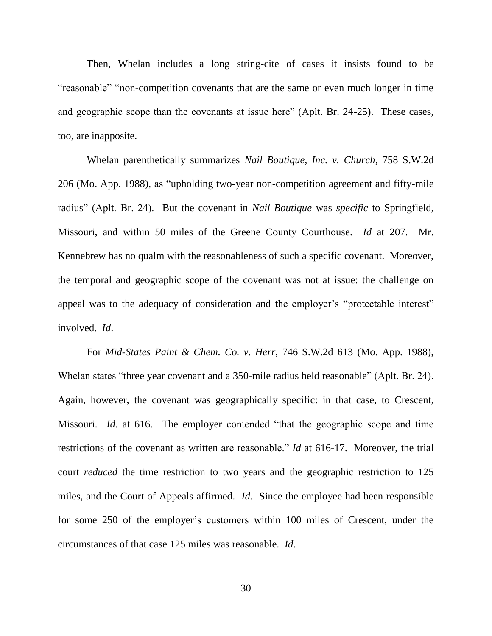Then, Whelan includes a long string-cite of cases it insists found to be "reasonable" "non-competition covenants that are the same or even much longer in time and geographic scope than the covenants at issue here" (Aplt. Br. 24-25). These cases, too, are inapposite.

Whelan parenthetically summarizes *Nail Boutique, Inc. v. Church,* 758 S.W.2d 206 (Mo. App. 1988), as "upholding two-year non-competition agreement and fifty-mile radius" (Aplt. Br. 24). But the covenant in *Nail Boutique* was *specific* to Springfield, Missouri, and within 50 miles of the Greene County Courthouse. *Id* at 207. Mr. Kennebrew has no qualm with the reasonableness of such a specific covenant. Moreover, the temporal and geographic scope of the covenant was not at issue: the challenge on appeal was to the adequacy of consideration and the employer's "protectable interest" involved. *Id*.

For *Mid-States Paint & Chem. Co. v. Herr*, 746 S.W.2d 613 (Mo. App. 1988), Whelan states "three year covenant and a 350-mile radius held reasonable" (Aplt. Br. 24). Again, however, the covenant was geographically specific: in that case, to Crescent, Missouri. *Id.* at 616. The employer contended "that the geographic scope and time restrictions of the covenant as written are reasonable." *Id* at 616-17. Moreover, the trial court *reduced* the time restriction to two years and the geographic restriction to 125 miles, and the Court of Appeals affirmed. *Id*. Since the employee had been responsible for some 250 of the employer's customers within 100 miles of Crescent, under the circumstances of that case 125 miles was reasonable. *Id*.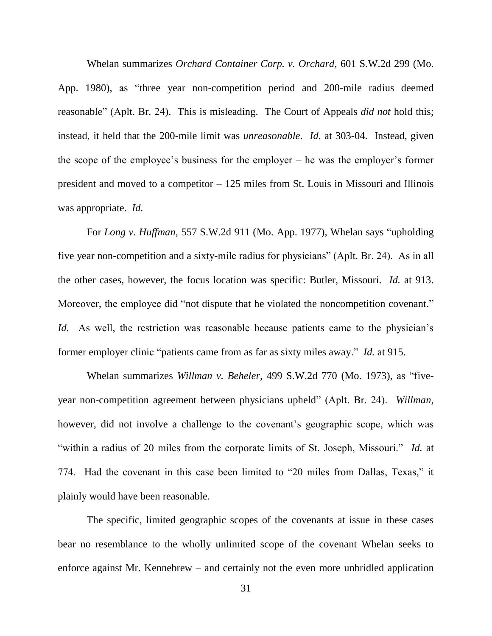Whelan summarizes *Orchard Container Corp. v. Orchard,* 601 S.W.2d 299 (Mo. App. 1980), as "three year non-competition period and 200-mile radius deemed reasonable" (Aplt. Br. 24). This is misleading. The Court of Appeals *did not* hold this; instead, it held that the 200-mile limit was *unreasonable*. *Id.* at 303-04. Instead, given the scope of the employee's business for the employer – he was the employer's former president and moved to a competitor – 125 miles from St. Louis in Missouri and Illinois was appropriate. *Id.*

For *Long v. Huffman,* 557 S.W.2d 911 (Mo. App. 1977), Whelan says "upholding five year non-competition and a sixty-mile radius for physicians" (Aplt. Br. 24). As in all the other cases, however, the focus location was specific: Butler, Missouri. *Id.* at 913. Moreover, the employee did "not dispute that he violated the noncompetition covenant." *Id.* As well, the restriction was reasonable because patients came to the physician's former employer clinic "patients came from as far as sixty miles away." *Id.* at 915.

Whelan summarizes *Willman v. Beheler,* 499 S.W.2d 770 (Mo. 1973), as "fiveyear non-competition agreement between physicians upheld" (Aplt. Br. 24). *Willman*, however, did not involve a challenge to the covenant's geographic scope, which was "within a radius of 20 miles from the corporate limits of St. Joseph, Missouri." *Id.* at 774. Had the covenant in this case been limited to "20 miles from Dallas, Texas," it plainly would have been reasonable.

The specific, limited geographic scopes of the covenants at issue in these cases bear no resemblance to the wholly unlimited scope of the covenant Whelan seeks to enforce against Mr. Kennebrew – and certainly not the even more unbridled application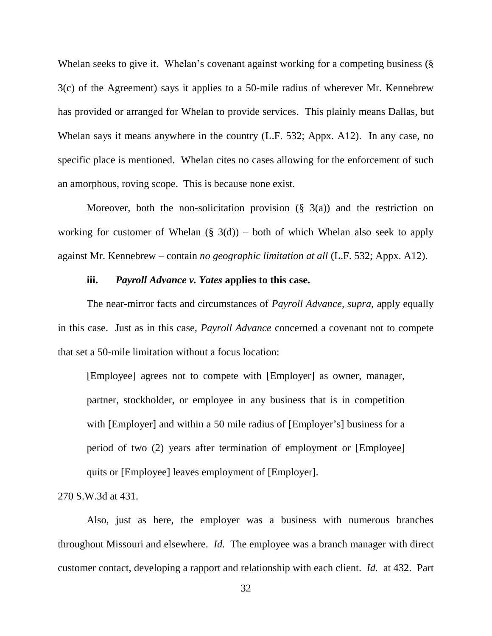Whelan seeks to give it. Whelan's covenant against working for a competing business (§ 3(c) of the Agreement) says it applies to a 50-mile radius of wherever Mr. Kennebrew has provided or arranged for Whelan to provide services. This plainly means Dallas, but Whelan says it means anywhere in the country (L.F. 532; Appx. A12). In any case, no specific place is mentioned. Whelan cites no cases allowing for the enforcement of such an amorphous, roving scope. This is because none exist.

Moreover, both the non-solicitation provision  $(\S$  3(a)) and the restriction on working for customer of Whelan  $(\S$  3(d)) – both of which Whelan also seek to apply against Mr. Kennebrew – contain *no geographic limitation at all* (L.F. 532; Appx. A12).

#### **iii.** *Payroll Advance v. Yates* **applies to this case.**

The near-mirror facts and circumstances of *Payroll Advance, supra*, apply equally in this case. Just as in this case, *Payroll Advance* concerned a covenant not to compete that set a 50-mile limitation without a focus location:

[Employee] agrees not to compete with [Employer] as owner, manager, partner, stockholder, or employee in any business that is in competition with [Employer] and within a 50 mile radius of [Employer's] business for a period of two (2) years after termination of employment or [Employee] quits or [Employee] leaves employment of [Employer].

270 S.W.3d at 431.

Also, just as here, the employer was a business with numerous branches throughout Missouri and elsewhere. *Id.* The employee was a branch manager with direct customer contact, developing a rapport and relationship with each client. *Id.* at 432. Part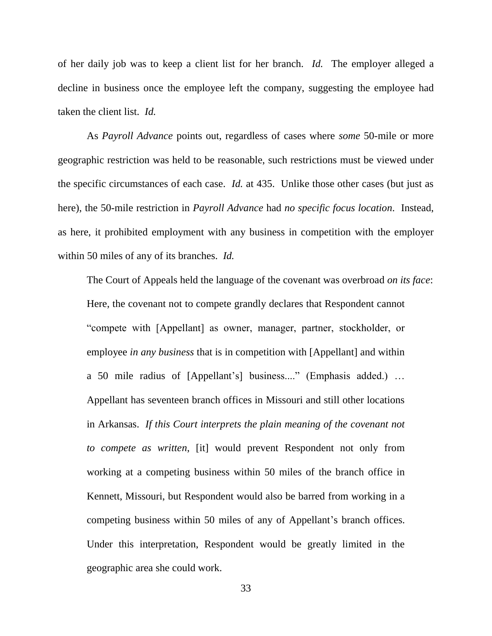of her daily job was to keep a client list for her branch. *Id.* The employer alleged a decline in business once the employee left the company, suggesting the employee had taken the client list. *Id.*

As *Payroll Advance* points out, regardless of cases where *some* 50-mile or more geographic restriction was held to be reasonable, such restrictions must be viewed under the specific circumstances of each case. *Id.* at 435. Unlike those other cases (but just as here), the 50-mile restriction in *Payroll Advance* had *no specific focus location*. Instead, as here, it prohibited employment with any business in competition with the employer within 50 miles of any of its branches. *Id.*

The Court of Appeals held the language of the covenant was overbroad *on its face*: Here, the covenant not to compete grandly declares that Respondent cannot "compete with [Appellant] as owner, manager, partner, stockholder, or employee *in any business* that is in competition with [Appellant] and within a 50 mile radius of [Appellant's] business...." (Emphasis added.) … Appellant has seventeen branch offices in Missouri and still other locations in Arkansas. *If this Court interprets the plain meaning of the covenant not to compete as written*, [it] would prevent Respondent not only from working at a competing business within 50 miles of the branch office in Kennett, Missouri, but Respondent would also be barred from working in a competing business within 50 miles of any of Appellant's branch offices. Under this interpretation, Respondent would be greatly limited in the geographic area she could work.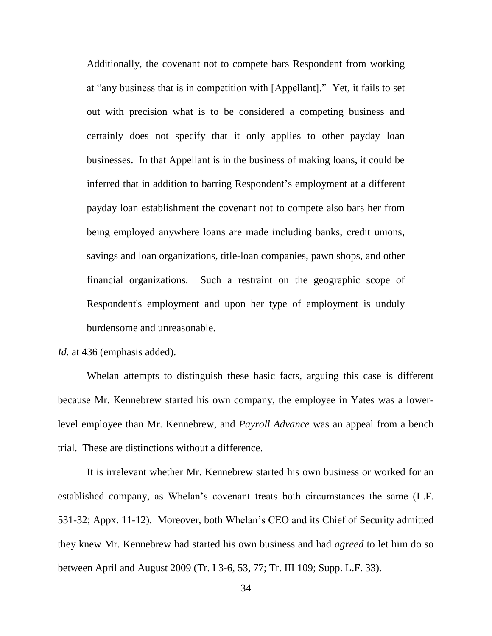Additionally, the covenant not to compete bars Respondent from working at "any business that is in competition with [Appellant]." Yet, it fails to set out with precision what is to be considered a competing business and certainly does not specify that it only applies to other payday loan businesses. In that Appellant is in the business of making loans, it could be inferred that in addition to barring Respondent's employment at a different payday loan establishment the covenant not to compete also bars her from being employed anywhere loans are made including banks, credit unions, savings and loan organizations, title-loan companies, pawn shops, and other financial organizations. Such a restraint on the geographic scope of Respondent's employment and upon her type of employment is unduly burdensome and unreasonable.

*Id.* at 436 (emphasis added).

Whelan attempts to distinguish these basic facts, arguing this case is different because Mr. Kennebrew started his own company, the employee in Yates was a lowerlevel employee than Mr. Kennebrew, and *Payroll Advance* was an appeal from a bench trial. These are distinctions without a difference.

It is irrelevant whether Mr. Kennebrew started his own business or worked for an established company, as Whelan's covenant treats both circumstances the same (L.F. 531-32; Appx. 11-12). Moreover, both Whelan's CEO and its Chief of Security admitted they knew Mr. Kennebrew had started his own business and had *agreed* to let him do so between April and August 2009 (Tr. I 3-6, 53, 77; Tr. III 109; Supp. L.F. 33).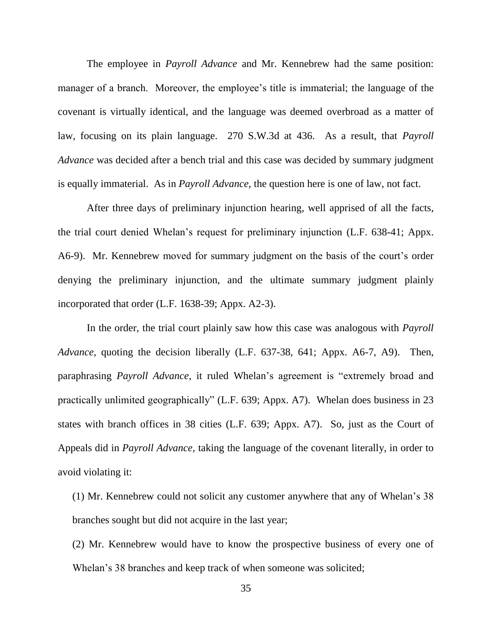The employee in *Payroll Advance* and Mr. Kennebrew had the same position: manager of a branch. Moreover, the employee's title is immaterial; the language of the covenant is virtually identical, and the language was deemed overbroad as a matter of law, focusing on its plain language. 270 S.W.3d at 436. As a result, that *Payroll Advance* was decided after a bench trial and this case was decided by summary judgment is equally immaterial. As in *Payroll Advance*, the question here is one of law, not fact.

After three days of preliminary injunction hearing, well apprised of all the facts, the trial court denied Whelan's request for preliminary injunction (L.F. 638-41; Appx. A6-9). Mr. Kennebrew moved for summary judgment on the basis of the court's order denying the preliminary injunction, and the ultimate summary judgment plainly incorporated that order (L.F. 1638-39; Appx. A2-3).

In the order, the trial court plainly saw how this case was analogous with *Payroll Advance*, quoting the decision liberally (L.F. 637-38, 641; Appx. A6-7, A9). Then, paraphrasing *Payroll Advance*, it ruled Whelan's agreement is "extremely broad and practically unlimited geographically" (L.F. 639; Appx. A7). Whelan does business in 23 states with branch offices in 38 cities (L.F. 639; Appx. A7). So, just as the Court of Appeals did in *Payroll Advance*, taking the language of the covenant literally, in order to avoid violating it:

(1) Mr. Kennebrew could not solicit any customer anywhere that any of Whelan's 38 branches sought but did not acquire in the last year;

(2) Mr. Kennebrew would have to know the prospective business of every one of Whelan's 38 branches and keep track of when someone was solicited;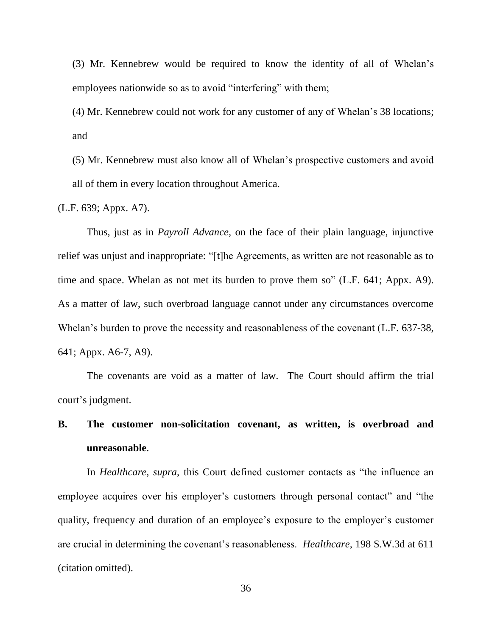(3) Mr. Kennebrew would be required to know the identity of all of Whelan's employees nationwide so as to avoid "interfering" with them;

(4) Mr. Kennebrew could not work for any customer of any of Whelan's 38 locations; and

(5) Mr. Kennebrew must also know all of Whelan's prospective customers and avoid all of them in every location throughout America.

(L.F. 639; Appx. A7).

Thus, just as in *Payroll Advance*, on the face of their plain language, injunctive relief was unjust and inappropriate: "[t]he Agreements, as written are not reasonable as to time and space. Whelan as not met its burden to prove them so" (L.F. 641; Appx. A9). As a matter of law, such overbroad language cannot under any circumstances overcome Whelan's burden to prove the necessity and reasonableness of the covenant (L.F. 637-38, 641; Appx. A6-7, A9).

The covenants are void as a matter of law. The Court should affirm the trial court's judgment.

# **B. The customer non-solicitation covenant, as written, is overbroad and unreasonable**.

In *Healthcare*, *supra*, this Court defined customer contacts as "the influence an employee acquires over his employer's customers through personal contact" and "the quality, frequency and duration of an employee's exposure to the employer's customer are crucial in determining the covenant's reasonableness. *Healthcare*, 198 S.W.3d at 611 (citation omitted).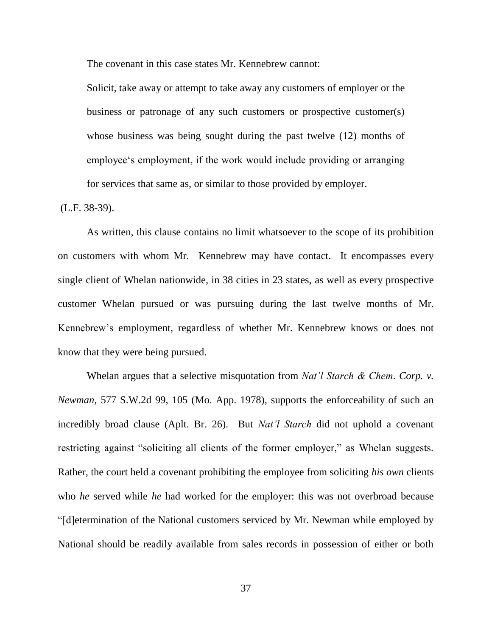The covenant in this case states Mr. Kennebrew cannot:

Solicit, take away or attempt to take away any customers of employer or the business or patronage of any such customers or prospective customer(s) whose business was being sought during the past twelve (12) months of employee's employment, if the work would include providing or arranging for services that same as, or similar to those provided by employer.

(L.F. 38-39).

As written, this clause contains no limit whatsoever to the scope of its prohibition on customers with whom Mr. Kennebrew may have contact. It encompasses every single client of Whelan nationwide, in 38 cities in 23 states, as well as every prospective customer Whelan pursued or was pursuing during the last twelve months of Mr. Kennebrew's employment, regardless of whether Mr. Kennebrew knows or does not know that they were being pursued.

Whelan argues that a selective misquotation from *Nat'l Starch & Chem. Corp. v. Newman,* 577 S.W.2d 99, 105 (Mo. App. 1978), supports the enforceability of such an incredibly broad clause (Aplt. Br. 26). But *Nat'l Starch* did not uphold a covenant restricting against "soliciting all clients of the former employer," as Whelan suggests. Rather, the court held a covenant prohibiting the employee from soliciting *his own* clients who *he* served while *he* had worked for the employer: this was not overbroad because "[d]etermination of the National customers serviced by Mr. Newman while employed by National should be readily available from sales records in possession of either or both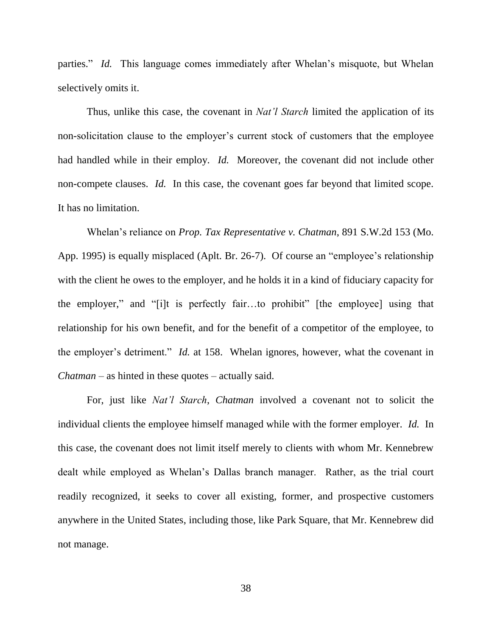parties." *Id.* This language comes immediately after Whelan's misquote, but Whelan selectively omits it.

Thus, unlike this case, the covenant in *Nat'l Starch* limited the application of its non-solicitation clause to the employer's current stock of customers that the employee had handled while in their employ. *Id.* Moreover, the covenant did not include other non-compete clauses. *Id.* In this case, the covenant goes far beyond that limited scope. It has no limitation.

Whelan's reliance on *Prop. Tax Representative v. Chatman*, 891 S.W.2d 153 (Mo. App. 1995) is equally misplaced (Aplt. Br. 26-7). Of course an "employee's relationship with the client he owes to the employer, and he holds it in a kind of fiduciary capacity for the employer," and "[i]t is perfectly fair…to prohibit" [the employee] using that relationship for his own benefit, and for the benefit of a competitor of the employee, to the employer's detriment." *Id.* at 158. Whelan ignores, however, what the covenant in *Chatman* – as hinted in these quotes – actually said.

For, just like *Nat'l Starch*, *Chatman* involved a covenant not to solicit the individual clients the employee himself managed while with the former employer. *Id.* In this case, the covenant does not limit itself merely to clients with whom Mr. Kennebrew dealt while employed as Whelan's Dallas branch manager. Rather, as the trial court readily recognized, it seeks to cover all existing, former, and prospective customers anywhere in the United States, including those, like Park Square, that Mr. Kennebrew did not manage.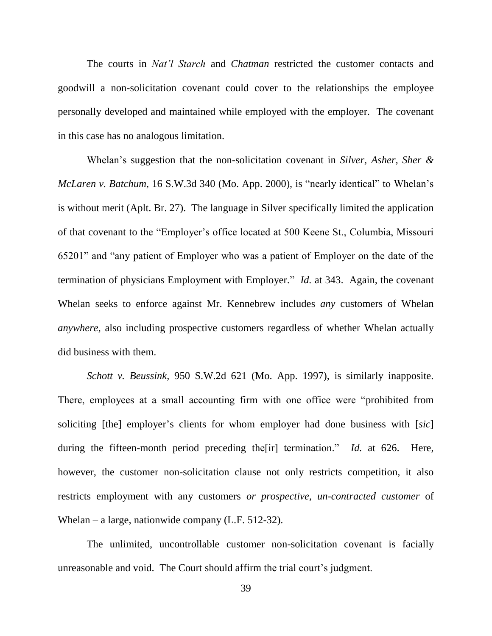The courts in *Nat'l Starch* and *Chatman* restricted the customer contacts and goodwill a non-solicitation covenant could cover to the relationships the employee personally developed and maintained while employed with the employer. The covenant in this case has no analogous limitation.

Whelan's suggestion that the non-solicitation covenant in *Silver, Asher, Sher & McLaren v. Batchum*, 16 S.W.3d 340 (Mo. App. 2000), is "nearly identical" to Whelan's is without merit (Aplt. Br. 27). The language in Silver specifically limited the application of that covenant to the "Employer's office located at 500 Keene St., Columbia, Missouri 65201" and "any patient of Employer who was a patient of Employer on the date of the termination of physicians Employment with Employer." *Id.* at 343. Again, the covenant Whelan seeks to enforce against Mr. Kennebrew includes *any* customers of Whelan *anywhere*, also including prospective customers regardless of whether Whelan actually did business with them.

*Schott v. Beussink,* 950 S.W.2d 621 (Mo. App. 1997), is similarly inapposite. There, employees at a small accounting firm with one office were "prohibited from soliciting [the] employer's clients for whom employer had done business with [*sic*] during the fifteen-month period preceding the[ir] termination." *Id.* at 626. Here, however, the customer non-solicitation clause not only restricts competition, it also restricts employment with any customers *or prospective, un-contracted customer* of Whelan – a large, nationwide company (L.F. 512-32).

The unlimited, uncontrollable customer non-solicitation covenant is facially unreasonable and void. The Court should affirm the trial court's judgment.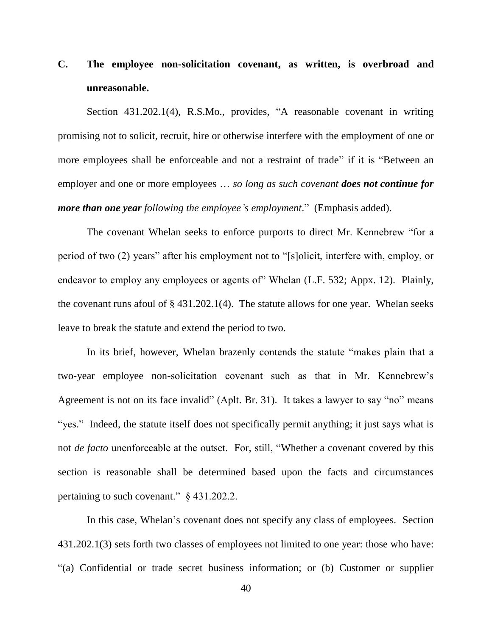# **C. The employee non-solicitation covenant, as written, is overbroad and unreasonable.**

Section 431.202.1(4), R.S.Mo., provides, "A reasonable covenant in writing promising not to solicit, recruit, hire or otherwise interfere with the employment of one or more employees shall be enforceable and not a restraint of trade" if it is "Between an employer and one or more employees … *so long as such covenant does not continue for more than one year following the employee's employment*." (Emphasis added).

The covenant Whelan seeks to enforce purports to direct Mr. Kennebrew "for a period of two (2) years" after his employment not to "[s]olicit, interfere with, employ, or endeavor to employ any employees or agents of" Whelan (L.F. 532; Appx. 12). Plainly, the covenant runs afoul of  $\S$  431.202.1(4). The statute allows for one year. Whelan seeks leave to break the statute and extend the period to two.

In its brief, however, Whelan brazenly contends the statute "makes plain that a two-year employee non-solicitation covenant such as that in Mr. Kennebrew's Agreement is not on its face invalid" (Aplt. Br. 31). It takes a lawyer to say "no" means "yes." Indeed, the statute itself does not specifically permit anything; it just says what is not *de facto* unenforceable at the outset. For, still, "Whether a covenant covered by this section is reasonable shall be determined based upon the facts and circumstances pertaining to such covenant." § 431.202.2.

In this case, Whelan's covenant does not specify any class of employees. Section 431.202.1(3) sets forth two classes of employees not limited to one year: those who have: "(a) Confidential or trade secret business information; or (b) Customer or supplier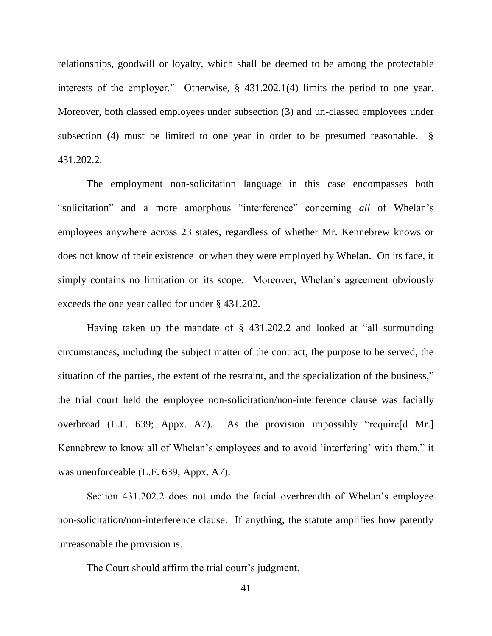relationships, goodwill or loyalty, which shall be deemed to be among the protectable interests of the employer." Otherwise, § 431.202.1(4) limits the period to one year. Moreover, both classed employees under subsection (3) and un-classed employees under subsection (4) must be limited to one year in order to be presumed reasonable. § 431.202.2.

The employment non-solicitation language in this case encompasses both "solicitation" and a more amorphous "interference" concerning *all* of Whelan's employees anywhere across 23 states, regardless of whether Mr. Kennebrew knows or does not know of their existence or when they were employed by Whelan. On its face, it simply contains no limitation on its scope. Moreover, Whelan's agreement obviously exceeds the one year called for under § 431.202.

Having taken up the mandate of § 431.202.2 and looked at "all surrounding circumstances, including the subject matter of the contract, the purpose to be served, the situation of the parties, the extent of the restraint, and the specialization of the business," the trial court held the employee non-solicitation/non-interference clause was facially overbroad (L.F. 639; Appx. A7). As the provision impossibly "require[d Mr.] Kennebrew to know all of Whelan's employees and to avoid 'interfering' with them," it was unenforceable (L.F. 639; Appx. A7).

Section 431.202.2 does not undo the facial overbreadth of Whelan's employee non-solicitation/non-interference clause. If anything, the statute amplifies how patently unreasonable the provision is.

The Court should affirm the trial court's judgment.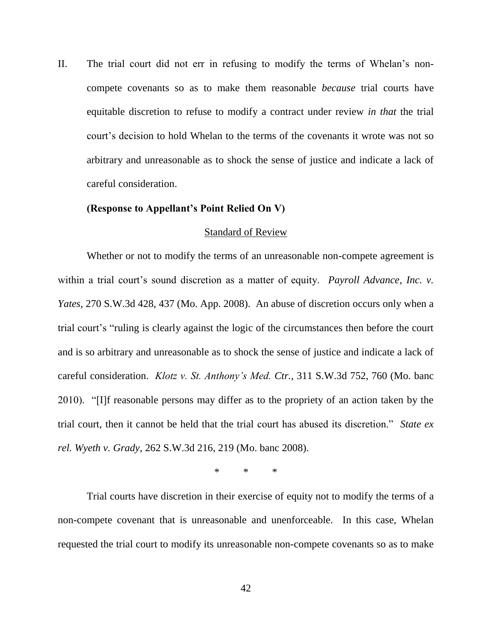II. The trial court did not err in refusing to modify the terms of Whelan's noncompete covenants so as to make them reasonable *because* trial courts have equitable discretion to refuse to modify a contract under review *in that* the trial court's decision to hold Whelan to the terms of the covenants it wrote was not so arbitrary and unreasonable as to shock the sense of justice and indicate a lack of careful consideration.

#### **(Response to Appellant's Point Relied On V)**

#### Standard of Review

Whether or not to modify the terms of an unreasonable non-compete agreement is within a trial court's sound discretion as a matter of equity. *Payroll Advance, Inc. v. Yates*, 270 S.W.3d 428, 437 (Mo. App. 2008). An abuse of discretion occurs only when a trial court's "ruling is clearly against the logic of the circumstances then before the court and is so arbitrary and unreasonable as to shock the sense of justice and indicate a lack of careful consideration. *Klotz v. St. Anthony's Med. Ctr.*, 311 S.W.3d 752, 760 (Mo. banc 2010). "[I]f reasonable persons may differ as to the propriety of an action taken by the trial court, then it cannot be held that the trial court has abused its discretion." *State ex rel. Wyeth v. Grady*, 262 S.W.3d 216, 219 (Mo. banc 2008).

\* \* \*

Trial courts have discretion in their exercise of equity not to modify the terms of a non-compete covenant that is unreasonable and unenforceable. In this case, Whelan requested the trial court to modify its unreasonable non-compete covenants so as to make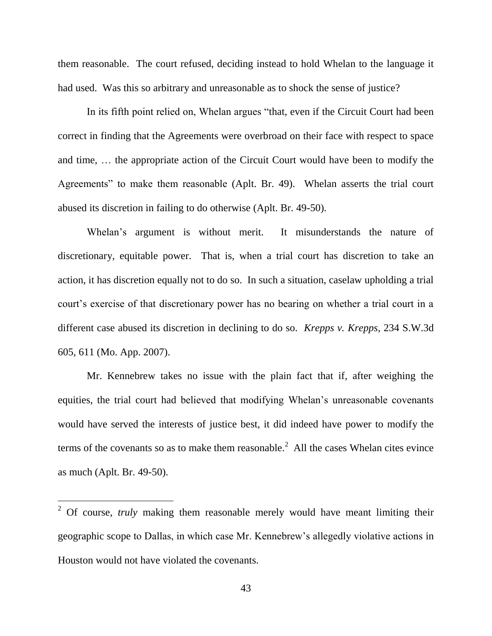them reasonable. The court refused, deciding instead to hold Whelan to the language it had used. Was this so arbitrary and unreasonable as to shock the sense of justice?

In its fifth point relied on, Whelan argues "that, even if the Circuit Court had been correct in finding that the Agreements were overbroad on their face with respect to space and time, … the appropriate action of the Circuit Court would have been to modify the Agreements" to make them reasonable (Aplt. Br. 49). Whelan asserts the trial court abused its discretion in failing to do otherwise (Aplt. Br. 49-50).

Whelan's argument is without merit. It misunderstands the nature of discretionary, equitable power. That is, when a trial court has discretion to take an action, it has discretion equally not to do so. In such a situation, caselaw upholding a trial court's exercise of that discretionary power has no bearing on whether a trial court in a different case abused its discretion in declining to do so. *Krepps v. Krepps*, 234 S.W.3d 605, 611 (Mo. App. 2007).

Mr. Kennebrew takes no issue with the plain fact that if, after weighing the equities, the trial court had believed that modifying Whelan's unreasonable covenants would have served the interests of justice best, it did indeed have power to modify the terms of the covenants so as to make them reasonable.<sup>2</sup> All the cases Whelan cites evince as much (Aplt. Br. 49-50).

l

<sup>&</sup>lt;sup>2</sup> Of course, *truly* making them reasonable merely would have meant limiting their geographic scope to Dallas, in which case Mr. Kennebrew's allegedly violative actions in Houston would not have violated the covenants.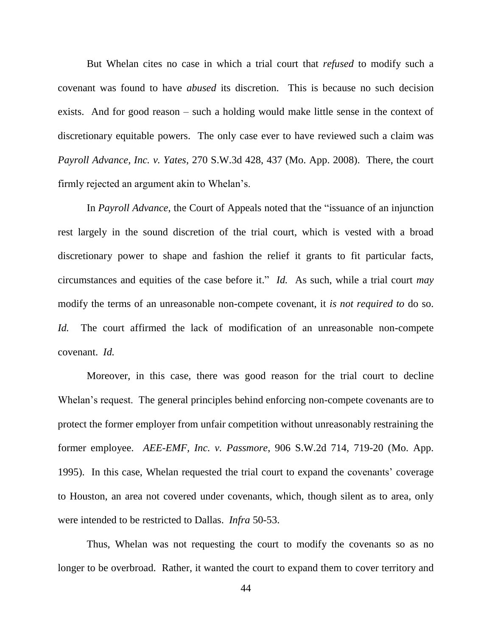But Whelan cites no case in which a trial court that *refused* to modify such a covenant was found to have *abused* its discretion. This is because no such decision exists. And for good reason – such a holding would make little sense in the context of discretionary equitable powers. The only case ever to have reviewed such a claim was *Payroll Advance, Inc. v. Yates*, 270 S.W.3d 428, 437 (Mo. App. 2008). There, the court firmly rejected an argument akin to Whelan's.

In *Payroll Advance*, the Court of Appeals noted that the "issuance of an injunction rest largely in the sound discretion of the trial court, which is vested with a broad discretionary power to shape and fashion the relief it grants to fit particular facts, circumstances and equities of the case before it." *Id.* As such, while a trial court *may* modify the terms of an unreasonable non-compete covenant, it *is not required to* do so. *Id.* The court affirmed the lack of modification of an unreasonable non-compete covenant. *Id.*

Moreover, in this case, there was good reason for the trial court to decline Whelan's request. The general principles behind enforcing non-compete covenants are to protect the former employer from unfair competition without unreasonably restraining the former employee. *AEE-EMF, Inc. v. Passmore*, 906 S.W.2d 714, 719-20 (Mo. App. 1995). In this case, Whelan requested the trial court to expand the covenants' coverage to Houston, an area not covered under covenants, which, though silent as to area, only were intended to be restricted to Dallas. *Infra* 50-53.

Thus, Whelan was not requesting the court to modify the covenants so as no longer to be overbroad. Rather, it wanted the court to expand them to cover territory and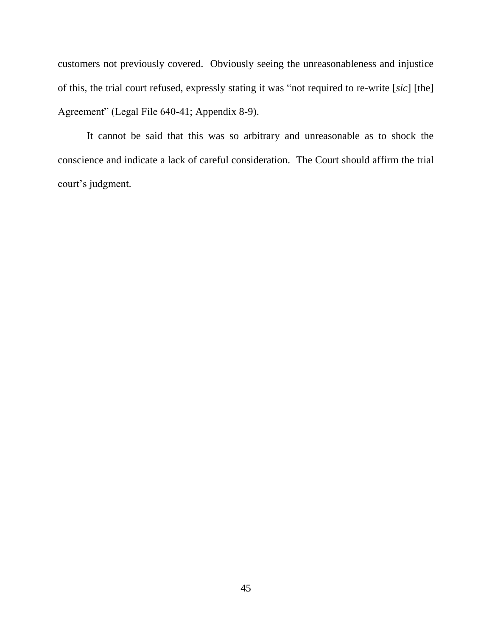customers not previously covered. Obviously seeing the unreasonableness and injustice of this, the trial court refused, expressly stating it was "not required to re-write [*sic*] [the] Agreement" (Legal File 640-41; Appendix 8-9).

It cannot be said that this was so arbitrary and unreasonable as to shock the conscience and indicate a lack of careful consideration. The Court should affirm the trial court's judgment.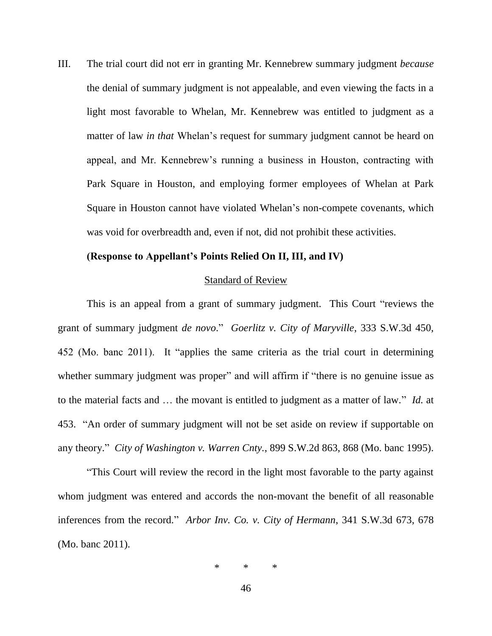III. The trial court did not err in granting Mr. Kennebrew summary judgment *because* the denial of summary judgment is not appealable, and even viewing the facts in a light most favorable to Whelan, Mr. Kennebrew was entitled to judgment as a matter of law *in that* Whelan's request for summary judgment cannot be heard on appeal, and Mr. Kennebrew's running a business in Houston, contracting with Park Square in Houston, and employing former employees of Whelan at Park Square in Houston cannot have violated Whelan's non-compete covenants, which was void for overbreadth and, even if not, did not prohibit these activities.

#### **(Response to Appellant's Points Relied On II, III, and IV)**

#### Standard of Review

This is an appeal from a grant of summary judgment. This Court "reviews the grant of summary judgment *de novo*." *Goerlitz v. City of Maryville*, 333 S.W.3d 450, 452 (Mo. banc 2011). It "applies the same criteria as the trial court in determining whether summary judgment was proper" and will affirm if "there is no genuine issue as to the material facts and … the movant is entitled to judgment as a matter of law." *Id.* at 453. "An order of summary judgment will not be set aside on review if supportable on any theory." *City of Washington v. Warren Cnty.*, 899 S.W.2d 863, 868 (Mo. banc 1995).

"This Court will review the record in the light most favorable to the party against whom judgment was entered and accords the non-movant the benefit of all reasonable inferences from the record." *Arbor Inv. Co. v. City of Hermann*, 341 S.W.3d 673, 678 (Mo. banc 2011).

$$
\ast\qquad \ast\qquad \ast
$$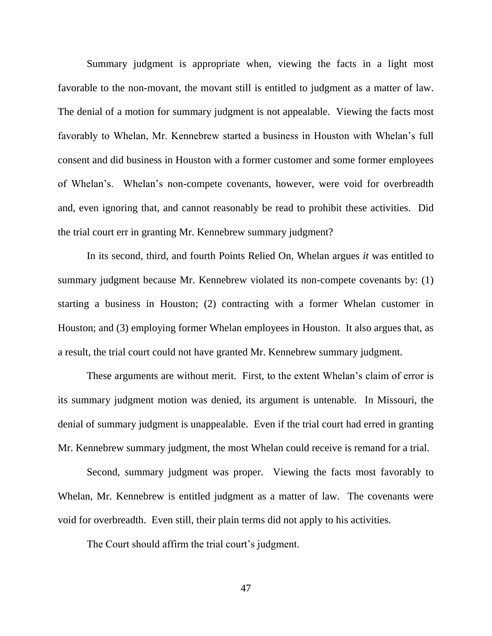Summary judgment is appropriate when, viewing the facts in a light most favorable to the non-movant, the movant still is entitled to judgment as a matter of law. The denial of a motion for summary judgment is not appealable. Viewing the facts most favorably to Whelan, Mr. Kennebrew started a business in Houston with Whelan's full consent and did business in Houston with a former customer and some former employees of Whelan's. Whelan's non-compete covenants, however, were void for overbreadth and, even ignoring that, and cannot reasonably be read to prohibit these activities. Did the trial court err in granting Mr. Kennebrew summary judgment?

In its second, third, and fourth Points Relied On, Whelan argues *it* was entitled to summary judgment because Mr. Kennebrew violated its non-compete covenants by: (1) starting a business in Houston; (2) contracting with a former Whelan customer in Houston; and (3) employing former Whelan employees in Houston. It also argues that, as a result, the trial court could not have granted Mr. Kennebrew summary judgment.

These arguments are without merit. First, to the extent Whelan's claim of error is its summary judgment motion was denied, its argument is untenable. In Missouri, the denial of summary judgment is unappealable. Even if the trial court had erred in granting Mr. Kennebrew summary judgment, the most Whelan could receive is remand for a trial.

Second, summary judgment was proper. Viewing the facts most favorably to Whelan, Mr. Kennebrew is entitled judgment as a matter of law. The covenants were void for overbreadth. Even still, their plain terms did not apply to his activities.

The Court should affirm the trial court's judgment.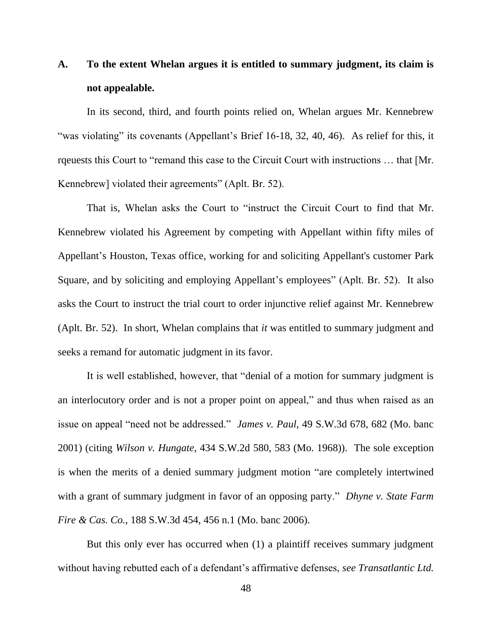# **A. To the extent Whelan argues it is entitled to summary judgment, its claim is not appealable.**

In its second, third, and fourth points relied on, Whelan argues Mr. Kennebrew "was violating" its covenants (Appellant's Brief 16-18, 32, 40, 46). As relief for this, it rqeuests this Court to "remand this case to the Circuit Court with instructions … that [Mr. Kennebrew] violated their agreements" (Aplt. Br. 52).

That is, Whelan asks the Court to "instruct the Circuit Court to find that Mr. Kennebrew violated his Agreement by competing with Appellant within fifty miles of Appellant's Houston, Texas office, working for and soliciting Appellant's customer Park Square, and by soliciting and employing Appellant's employees" (Aplt. Br. 52). It also asks the Court to instruct the trial court to order injunctive relief against Mr. Kennebrew (Aplt. Br. 52). In short, Whelan complains that *it* was entitled to summary judgment and seeks a remand for automatic judgment in its favor.

It is well established, however, that "denial of a motion for summary judgment is an interlocutory order and is not a proper point on appeal," and thus when raised as an issue on appeal "need not be addressed." *James v. Paul*, 49 S.W.3d 678, 682 (Mo. banc 2001) (citing *Wilson v. Hungate*, 434 S.W.2d 580, 583 (Mo. 1968)). The sole exception is when the merits of a denied summary judgment motion "are completely intertwined with a grant of summary judgment in favor of an opposing party." *Dhyne v. State Farm Fire & Cas. Co.*, 188 S.W.3d 454, 456 n.1 (Mo. banc 2006).

But this only ever has occurred when (1) a plaintiff receives summary judgment without having rebutted each of a defendant's affirmative defenses, *see Transatlantic Ltd.*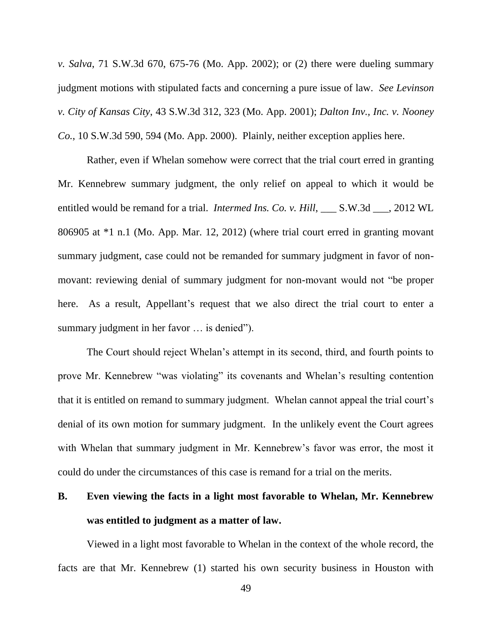*v. Salva*, 71 S.W.3d 670, 675-76 (Mo. App. 2002); or (2) there were dueling summary judgment motions with stipulated facts and concerning a pure issue of law. *See Levinson v. City of Kansas City*, 43 S.W.3d 312, 323 (Mo. App. 2001); *Dalton Inv., Inc. v. Nooney Co.*, 10 S.W.3d 590, 594 (Mo. App. 2000). Plainly, neither exception applies here.

Rather, even if Whelan somehow were correct that the trial court erred in granting Mr. Kennebrew summary judgment, the only relief on appeal to which it would be entitled would be remand for a trial. *Intermed Ins. Co. v. Hill*, S.W.3d . 2012 WL 806905 at \*1 n.1 (Mo. App. Mar. 12, 2012) (where trial court erred in granting movant summary judgment, case could not be remanded for summary judgment in favor of nonmovant: reviewing denial of summary judgment for non-movant would not "be proper here. As a result, Appellant's request that we also direct the trial court to enter a summary judgment in her favor … is denied").

The Court should reject Whelan's attempt in its second, third, and fourth points to prove Mr. Kennebrew "was violating" its covenants and Whelan's resulting contention that it is entitled on remand to summary judgment. Whelan cannot appeal the trial court's denial of its own motion for summary judgment. In the unlikely event the Court agrees with Whelan that summary judgment in Mr. Kennebrew's favor was error, the most it could do under the circumstances of this case is remand for a trial on the merits.

# **B. Even viewing the facts in a light most favorable to Whelan, Mr. Kennebrew was entitled to judgment as a matter of law.**

Viewed in a light most favorable to Whelan in the context of the whole record, the facts are that Mr. Kennebrew (1) started his own security business in Houston with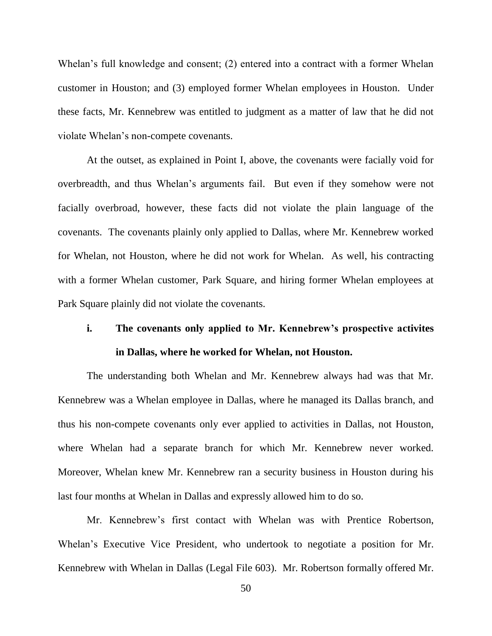Whelan's full knowledge and consent; (2) entered into a contract with a former Whelan customer in Houston; and (3) employed former Whelan employees in Houston. Under these facts, Mr. Kennebrew was entitled to judgment as a matter of law that he did not violate Whelan's non-compete covenants.

At the outset, as explained in Point I, above, the covenants were facially void for overbreadth, and thus Whelan's arguments fail. But even if they somehow were not facially overbroad, however, these facts did not violate the plain language of the covenants. The covenants plainly only applied to Dallas, where Mr. Kennebrew worked for Whelan, not Houston, where he did not work for Whelan. As well, his contracting with a former Whelan customer, Park Square, and hiring former Whelan employees at Park Square plainly did not violate the covenants.

# **i. The covenants only applied to Mr. Kennebrew's prospective activites in Dallas, where he worked for Whelan, not Houston.**

The understanding both Whelan and Mr. Kennebrew always had was that Mr. Kennebrew was a Whelan employee in Dallas, where he managed its Dallas branch, and thus his non-compete covenants only ever applied to activities in Dallas, not Houston, where Whelan had a separate branch for which Mr. Kennebrew never worked. Moreover, Whelan knew Mr. Kennebrew ran a security business in Houston during his last four months at Whelan in Dallas and expressly allowed him to do so.

Mr. Kennebrew's first contact with Whelan was with Prentice Robertson, Whelan's Executive Vice President, who undertook to negotiate a position for Mr. Kennebrew with Whelan in Dallas (Legal File 603). Mr. Robertson formally offered Mr.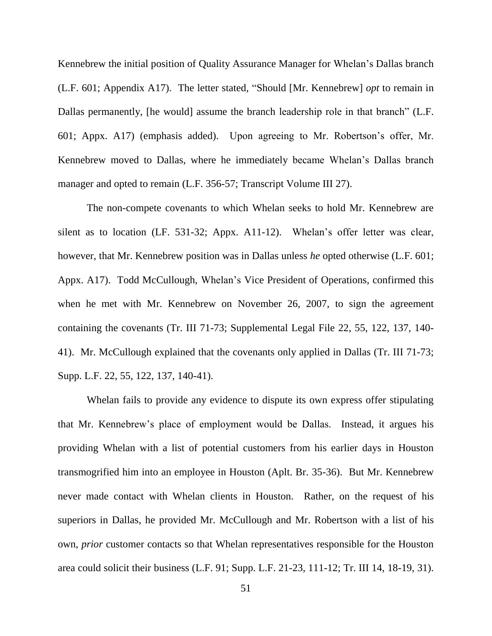Kennebrew the initial position of Quality Assurance Manager for Whelan's Dallas branch (L.F. 601; Appendix A17). The letter stated, "Should [Mr. Kennebrew] *opt* to remain in Dallas permanently, [he would] assume the branch leadership role in that branch" (L.F. 601; Appx. A17) (emphasis added). Upon agreeing to Mr. Robertson's offer, Mr. Kennebrew moved to Dallas, where he immediately became Whelan's Dallas branch manager and opted to remain (L.F. 356-57; Transcript Volume III 27).

The non-compete covenants to which Whelan seeks to hold Mr. Kennebrew are silent as to location (LF. 531-32; Appx. A11-12). Whelan's offer letter was clear, however, that Mr. Kennebrew position was in Dallas unless *he* opted otherwise (L.F. 601; Appx. A17). Todd McCullough, Whelan's Vice President of Operations, confirmed this when he met with Mr. Kennebrew on November 26, 2007, to sign the agreement containing the covenants (Tr. III 71-73; Supplemental Legal File 22, 55, 122, 137, 140- 41). Mr. McCullough explained that the covenants only applied in Dallas (Tr. III 71-73; Supp. L.F. 22, 55, 122, 137, 140-41).

Whelan fails to provide any evidence to dispute its own express offer stipulating that Mr. Kennebrew's place of employment would be Dallas. Instead, it argues his providing Whelan with a list of potential customers from his earlier days in Houston transmogrified him into an employee in Houston (Aplt. Br. 35-36). But Mr. Kennebrew never made contact with Whelan clients in Houston. Rather, on the request of his superiors in Dallas, he provided Mr. McCullough and Mr. Robertson with a list of his own, *prior* customer contacts so that Whelan representatives responsible for the Houston area could solicit their business (L.F. 91; Supp. L.F. 21-23, 111-12; Tr. III 14, 18-19, 31).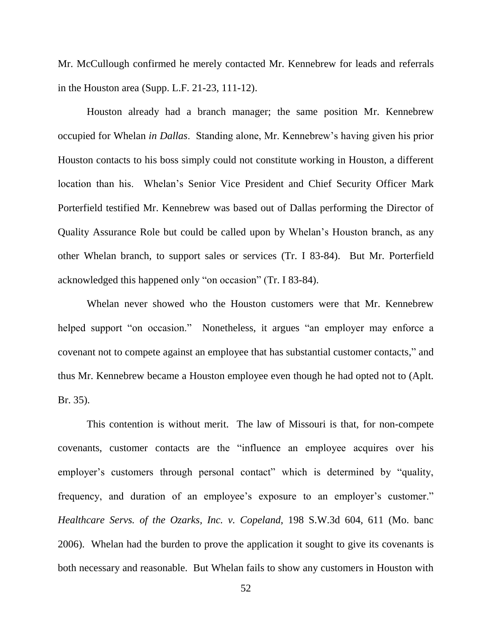Mr. McCullough confirmed he merely contacted Mr. Kennebrew for leads and referrals in the Houston area (Supp. L.F. 21-23, 111-12).

Houston already had a branch manager; the same position Mr. Kennebrew occupied for Whelan *in Dallas*. Standing alone, Mr. Kennebrew's having given his prior Houston contacts to his boss simply could not constitute working in Houston, a different location than his. Whelan's Senior Vice President and Chief Security Officer Mark Porterfield testified Mr. Kennebrew was based out of Dallas performing the Director of Quality Assurance Role but could be called upon by Whelan's Houston branch, as any other Whelan branch, to support sales or services (Tr. I 83-84). But Mr. Porterfield acknowledged this happened only "on occasion" (Tr. I 83-84).

Whelan never showed who the Houston customers were that Mr. Kennebrew helped support "on occasion." Nonetheless, it argues "an employer may enforce a covenant not to compete against an employee that has substantial customer contacts," and thus Mr. Kennebrew became a Houston employee even though he had opted not to (Aplt. Br. 35).

This contention is without merit. The law of Missouri is that, for non-compete covenants, customer contacts are the "influence an employee acquires over his employer's customers through personal contact" which is determined by "quality, frequency, and duration of an employee's exposure to an employer's customer." *Healthcare Servs. of the Ozarks, Inc. v. Copeland*, 198 S.W.3d 604, 611 (Mo. banc 2006). Whelan had the burden to prove the application it sought to give its covenants is both necessary and reasonable. But Whelan fails to show any customers in Houston with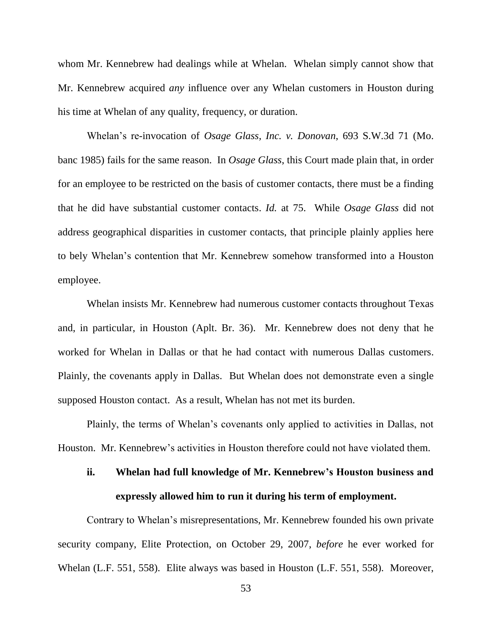whom Mr. Kennebrew had dealings while at Whelan. Whelan simply cannot show that Mr. Kennebrew acquired *any* influence over any Whelan customers in Houston during his time at Whelan of any quality, frequency, or duration.

Whelan's re-invocation of *Osage Glass, Inc. v. Donovan*, 693 S.W.3d 71 (Mo. banc 1985) fails for the same reason. In *Osage Glass*, this Court made plain that, in order for an employee to be restricted on the basis of customer contacts, there must be a finding that he did have substantial customer contacts. *Id.* at 75. While *Osage Glass* did not address geographical disparities in customer contacts, that principle plainly applies here to bely Whelan's contention that Mr. Kennebrew somehow transformed into a Houston employee.

Whelan insists Mr. Kennebrew had numerous customer contacts throughout Texas and, in particular, in Houston (Aplt. Br. 36). Mr. Kennebrew does not deny that he worked for Whelan in Dallas or that he had contact with numerous Dallas customers. Plainly, the covenants apply in Dallas. But Whelan does not demonstrate even a single supposed Houston contact. As a result, Whelan has not met its burden.

Plainly, the terms of Whelan's covenants only applied to activities in Dallas, not Houston. Mr. Kennebrew's activities in Houston therefore could not have violated them.

# **ii. Whelan had full knowledge of Mr. Kennebrew's Houston business and expressly allowed him to run it during his term of employment.**

Contrary to Whelan's misrepresentations, Mr. Kennebrew founded his own private security company, Elite Protection, on October 29, 2007, *before* he ever worked for Whelan (L.F. 551, 558). Elite always was based in Houston (L.F. 551, 558). Moreover,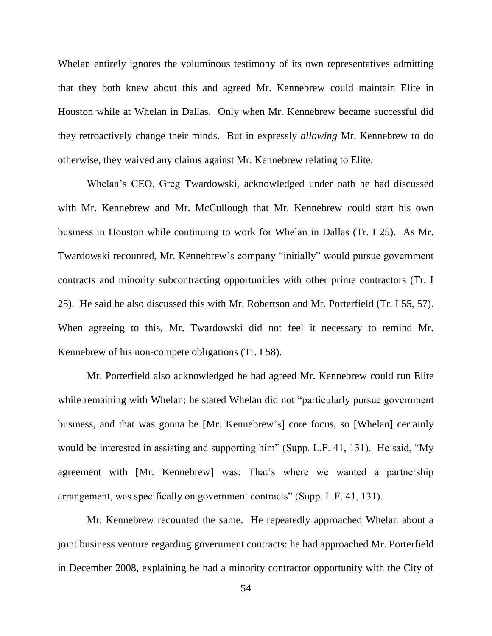Whelan entirely ignores the voluminous testimony of its own representatives admitting that they both knew about this and agreed Mr. Kennebrew could maintain Elite in Houston while at Whelan in Dallas. Only when Mr. Kennebrew became successful did they retroactively change their minds. But in expressly *allowing* Mr. Kennebrew to do otherwise, they waived any claims against Mr. Kennebrew relating to Elite.

Whelan's CEO, Greg Twardowski, acknowledged under oath he had discussed with Mr. Kennebrew and Mr. McCullough that Mr. Kennebrew could start his own business in Houston while continuing to work for Whelan in Dallas (Tr. I 25). As Mr. Twardowski recounted, Mr. Kennebrew's company "initially" would pursue government contracts and minority subcontracting opportunities with other prime contractors (Tr. I 25). He said he also discussed this with Mr. Robertson and Mr. Porterfield (Tr. I 55, 57). When agreeing to this, Mr. Twardowski did not feel it necessary to remind Mr. Kennebrew of his non-compete obligations (Tr. I 58).

Mr. Porterfield also acknowledged he had agreed Mr. Kennebrew could run Elite while remaining with Whelan: he stated Whelan did not "particularly pursue government" business, and that was gonna be [Mr. Kennebrew's] core focus, so [Whelan] certainly would be interested in assisting and supporting him" (Supp. L.F. 41, 131). He said, "My agreement with [Mr. Kennebrew] was: That's where we wanted a partnership arrangement, was specifically on government contracts" (Supp. L.F. 41, 131).

Mr. Kennebrew recounted the same. He repeatedly approached Whelan about a joint business venture regarding government contracts: he had approached Mr. Porterfield in December 2008, explaining he had a minority contractor opportunity with the City of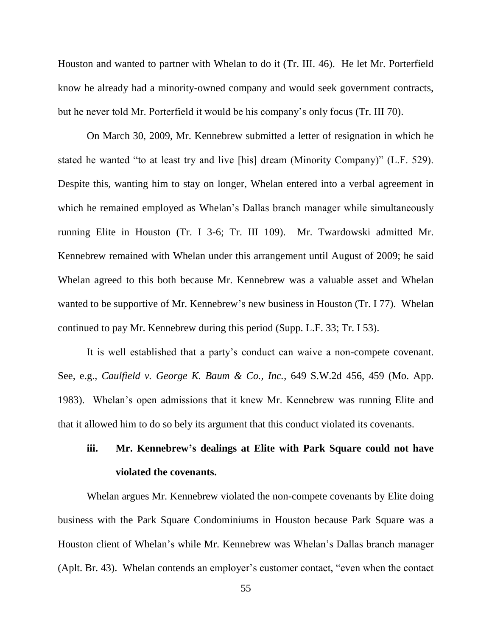Houston and wanted to partner with Whelan to do it (Tr. III. 46). He let Mr. Porterfield know he already had a minority-owned company and would seek government contracts, but he never told Mr. Porterfield it would be his company's only focus (Tr. III 70).

On March 30, 2009, Mr. Kennebrew submitted a letter of resignation in which he stated he wanted "to at least try and live [his] dream (Minority Company)" (L.F. 529). Despite this, wanting him to stay on longer, Whelan entered into a verbal agreement in which he remained employed as Whelan's Dallas branch manager while simultaneously running Elite in Houston (Tr. I 3-6; Tr. III 109). Mr. Twardowski admitted Mr. Kennebrew remained with Whelan under this arrangement until August of 2009; he said Whelan agreed to this both because Mr. Kennebrew was a valuable asset and Whelan wanted to be supportive of Mr. Kennebrew's new business in Houston (Tr. I 77). Whelan continued to pay Mr. Kennebrew during this period (Supp. L.F. 33; Tr. I 53).

It is well established that a party's conduct can waive a non-compete covenant. See, e.g., *Caulfield v. George K. Baum & Co., Inc.*, 649 S.W.2d 456, 459 (Mo. App. 1983). Whelan's open admissions that it knew Mr. Kennebrew was running Elite and that it allowed him to do so bely its argument that this conduct violated its covenants.

# **iii. Mr. Kennebrew's dealings at Elite with Park Square could not have violated the covenants.**

Whelan argues Mr. Kennebrew violated the non-compete covenants by Elite doing business with the Park Square Condominiums in Houston because Park Square was a Houston client of Whelan's while Mr. Kennebrew was Whelan's Dallas branch manager (Aplt. Br. 43). Whelan contends an employer's customer contact, "even when the contact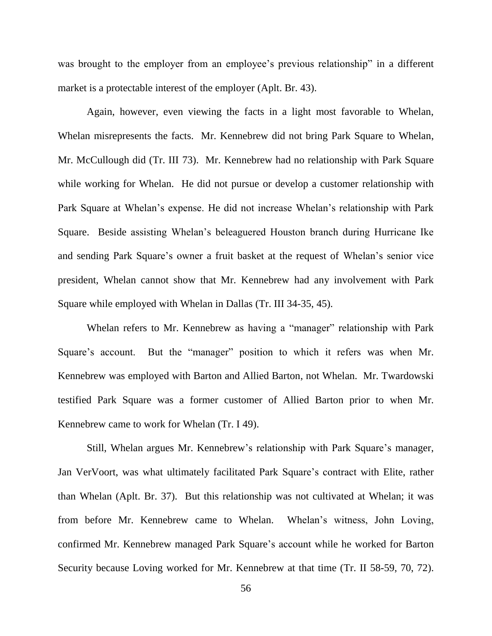was brought to the employer from an employee's previous relationship" in a different market is a protectable interest of the employer (Aplt. Br. 43).

Again, however, even viewing the facts in a light most favorable to Whelan, Whelan misrepresents the facts. Mr. Kennebrew did not bring Park Square to Whelan, Mr. McCullough did (Tr. III 73). Mr. Kennebrew had no relationship with Park Square while working for Whelan. He did not pursue or develop a customer relationship with Park Square at Whelan's expense. He did not increase Whelan's relationship with Park Square. Beside assisting Whelan's beleaguered Houston branch during Hurricane Ike and sending Park Square's owner a fruit basket at the request of Whelan's senior vice president, Whelan cannot show that Mr. Kennebrew had any involvement with Park Square while employed with Whelan in Dallas (Tr. III 34-35, 45).

Whelan refers to Mr. Kennebrew as having a "manager" relationship with Park Square's account. But the "manager" position to which it refers was when Mr. Kennebrew was employed with Barton and Allied Barton, not Whelan. Mr. Twardowski testified Park Square was a former customer of Allied Barton prior to when Mr. Kennebrew came to work for Whelan (Tr. I 49).

Still, Whelan argues Mr. Kennebrew's relationship with Park Square's manager, Jan VerVoort, was what ultimately facilitated Park Square's contract with Elite, rather than Whelan (Aplt. Br. 37). But this relationship was not cultivated at Whelan; it was from before Mr. Kennebrew came to Whelan. Whelan's witness, John Loving, confirmed Mr. Kennebrew managed Park Square's account while he worked for Barton Security because Loving worked for Mr. Kennebrew at that time (Tr. II 58-59, 70, 72).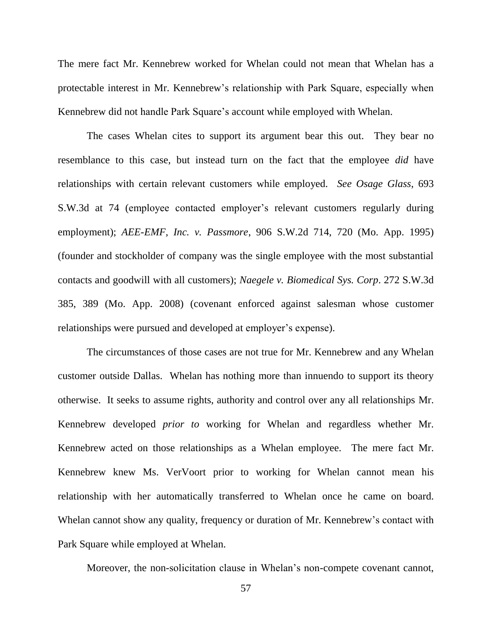The mere fact Mr. Kennebrew worked for Whelan could not mean that Whelan has a protectable interest in Mr. Kennebrew's relationship with Park Square, especially when Kennebrew did not handle Park Square's account while employed with Whelan.

The cases Whelan cites to support its argument bear this out. They bear no resemblance to this case, but instead turn on the fact that the employee *did* have relationships with certain relevant customers while employed. *See Osage Glass*, 693 S.W.3d at 74 (employee contacted employer's relevant customers regularly during employment); *AEE-EMF, Inc. v. Passmore*, 906 S.W.2d 714, 720 (Mo. App. 1995) (founder and stockholder of company was the single employee with the most substantial contacts and goodwill with all customers); *Naegele v. Biomedical Sys. Corp*. 272 S.W.3d 385, 389 (Mo. App. 2008) (covenant enforced against salesman whose customer relationships were pursued and developed at employer's expense).

The circumstances of those cases are not true for Mr. Kennebrew and any Whelan customer outside Dallas. Whelan has nothing more than innuendo to support its theory otherwise. It seeks to assume rights, authority and control over any all relationships Mr. Kennebrew developed *prior to* working for Whelan and regardless whether Mr. Kennebrew acted on those relationships as a Whelan employee. The mere fact Mr. Kennebrew knew Ms. VerVoort prior to working for Whelan cannot mean his relationship with her automatically transferred to Whelan once he came on board. Whelan cannot show any quality, frequency or duration of Mr. Kennebrew's contact with Park Square while employed at Whelan.

Moreover, the non-solicitation clause in Whelan's non-compete covenant cannot,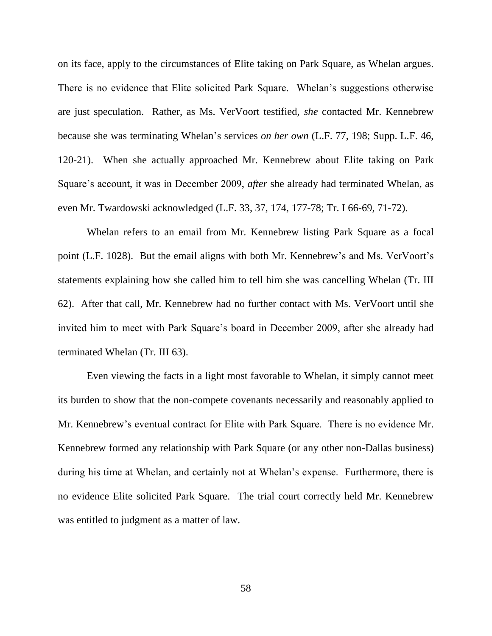on its face, apply to the circumstances of Elite taking on Park Square, as Whelan argues. There is no evidence that Elite solicited Park Square. Whelan's suggestions otherwise are just speculation. Rather, as Ms. VerVoort testified, *she* contacted Mr. Kennebrew because she was terminating Whelan's services *on her own* (L.F. 77, 198; Supp. L.F. 46, 120-21). When she actually approached Mr. Kennebrew about Elite taking on Park Square's account, it was in December 2009, *after* she already had terminated Whelan, as even Mr. Twardowski acknowledged (L.F. 33, 37, 174, 177-78; Tr. I 66-69, 71-72).

Whelan refers to an email from Mr. Kennebrew listing Park Square as a focal point (L.F. 1028). But the email aligns with both Mr. Kennebrew's and Ms. VerVoort's statements explaining how she called him to tell him she was cancelling Whelan (Tr. III 62). After that call, Mr. Kennebrew had no further contact with Ms. VerVoort until she invited him to meet with Park Square's board in December 2009, after she already had terminated Whelan (Tr. III 63).

Even viewing the facts in a light most favorable to Whelan, it simply cannot meet its burden to show that the non-compete covenants necessarily and reasonably applied to Mr. Kennebrew's eventual contract for Elite with Park Square. There is no evidence Mr. Kennebrew formed any relationship with Park Square (or any other non-Dallas business) during his time at Whelan, and certainly not at Whelan's expense. Furthermore, there is no evidence Elite solicited Park Square. The trial court correctly held Mr. Kennebrew was entitled to judgment as a matter of law.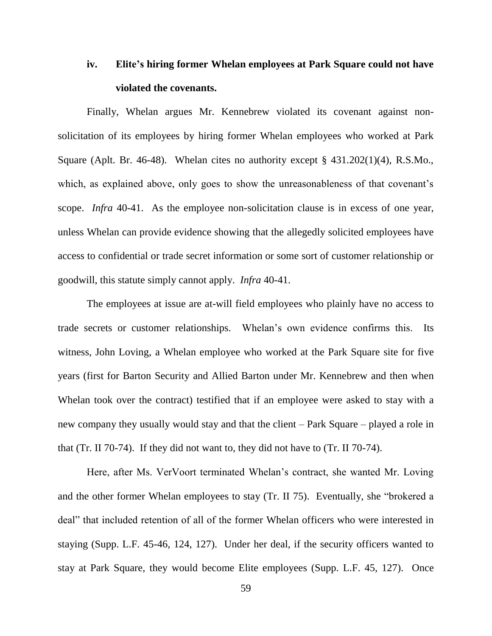# **iv. Elite's hiring former Whelan employees at Park Square could not have violated the covenants.**

Finally, Whelan argues Mr. Kennebrew violated its covenant against nonsolicitation of its employees by hiring former Whelan employees who worked at Park Square (Aplt. Br. 46-48). Whelan cites no authority except § 431.202(1)(4), R.S.Mo., which, as explained above, only goes to show the unreasonableness of that covenant's scope. *Infra* 40-41. As the employee non-solicitation clause is in excess of one year, unless Whelan can provide evidence showing that the allegedly solicited employees have access to confidential or trade secret information or some sort of customer relationship or goodwill, this statute simply cannot apply. *Infra* 40-41.

The employees at issue are at-will field employees who plainly have no access to trade secrets or customer relationships. Whelan's own evidence confirms this. Its witness, John Loving, a Whelan employee who worked at the Park Square site for five years (first for Barton Security and Allied Barton under Mr. Kennebrew and then when Whelan took over the contract) testified that if an employee were asked to stay with a new company they usually would stay and that the client – Park Square – played a role in that (Tr. II 70-74). If they did not want to, they did not have to (Tr. II 70-74).

Here, after Ms. VerVoort terminated Whelan's contract, she wanted Mr. Loving and the other former Whelan employees to stay (Tr. II 75). Eventually, she "brokered a deal" that included retention of all of the former Whelan officers who were interested in staying (Supp. L.F. 45-46, 124, 127). Under her deal, if the security officers wanted to stay at Park Square, they would become Elite employees (Supp. L.F. 45, 127). Once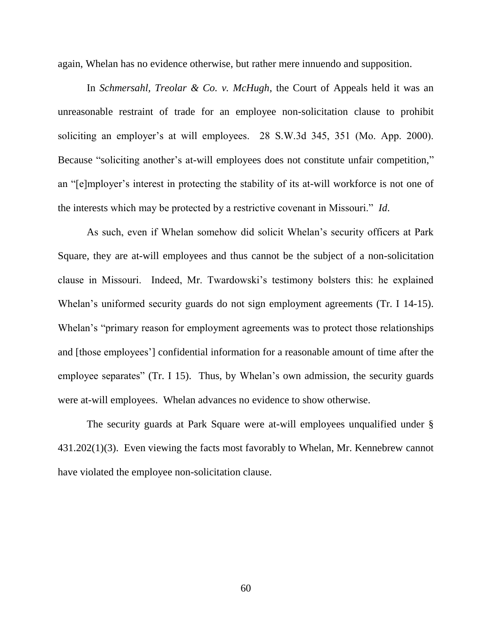again, Whelan has no evidence otherwise, but rather mere innuendo and supposition.

In *Schmersahl, Treolar & Co. v. McHugh*, the Court of Appeals held it was an unreasonable restraint of trade for an employee non-solicitation clause to prohibit soliciting an employer's at will employees. 28 S.W.3d 345, 351 (Mo. App. 2000). Because "soliciting another's at-will employees does not constitute unfair competition," an "[e]mployer's interest in protecting the stability of its at-will workforce is not one of the interests which may be protected by a restrictive covenant in Missouri." *Id*.

As such, even if Whelan somehow did solicit Whelan's security officers at Park Square, they are at-will employees and thus cannot be the subject of a non-solicitation clause in Missouri. Indeed, Mr. Twardowski's testimony bolsters this: he explained Whelan's uniformed security guards do not sign employment agreements (Tr. I 14-15). Whelan's "primary reason for employment agreements was to protect those relationships and [those employees'] confidential information for a reasonable amount of time after the employee separates" (Tr. I 15). Thus, by Whelan's own admission, the security guards were at-will employees. Whelan advances no evidence to show otherwise.

The security guards at Park Square were at-will employees unqualified under § 431.202(1)(3). Even viewing the facts most favorably to Whelan, Mr. Kennebrew cannot have violated the employee non-solicitation clause.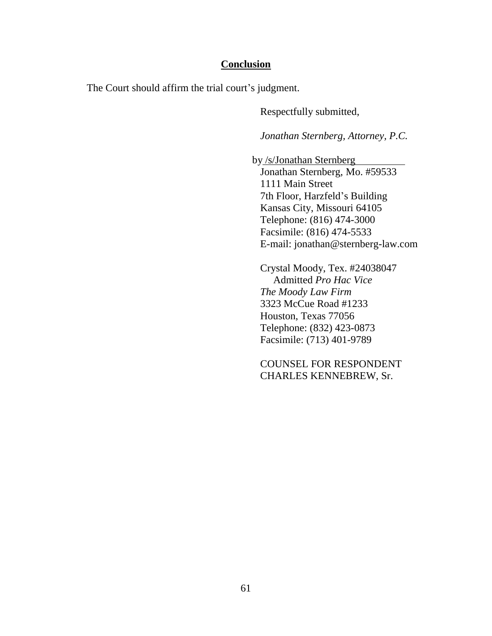### **Conclusion**

The Court should affirm the trial court's judgment.

Respectfully submitted,

*Jonathan Sternberg, Attorney, P.C.*

 by /s/Jonathan Sternberg Jonathan Sternberg, Mo. #59533 1111 Main Street 7th Floor, Harzfeld's Building Kansas City, Missouri 64105 Telephone: (816) 474-3000 Facsimile: (816) 474-5533 E-mail: jonathan@sternberg-law.com

Crystal Moody, Tex. #24038047 Admitted *Pro Hac Vice The Moody Law Firm* 3323 McCue Road #1233 Houston, Texas 77056 Telephone: (832) 423-0873 Facsimile: (713) 401-9789

COUNSEL FOR RESPONDENT CHARLES KENNEBREW, Sr.